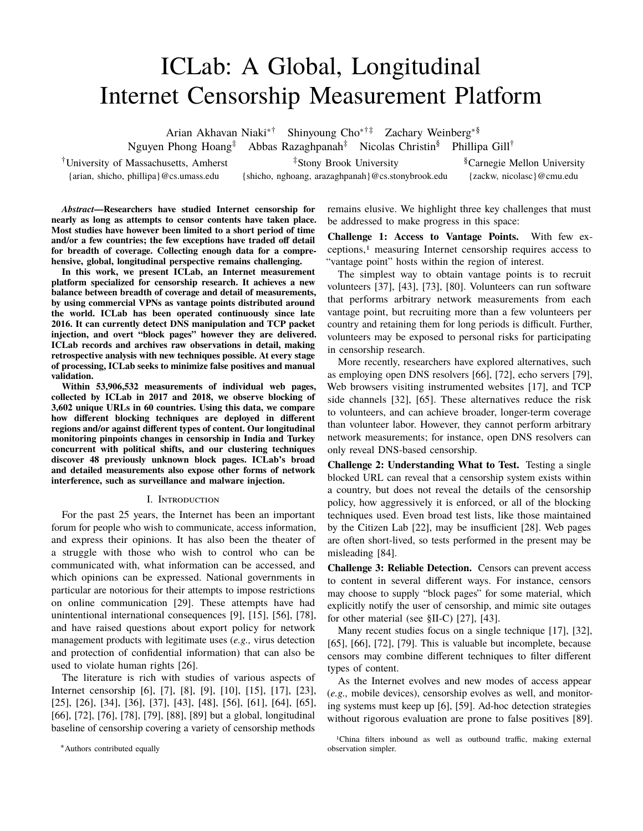# ICLab: A Global, Longitudinal Internet Censorship Measurement Platform

Arian Akhavan Niaki∗† Shinyoung Cho∗†‡ Zachary Weinberg∗§

Nguyen Phong Hoang‡ Abbas Razaghpanah‡ Nicolas Christin§ Phillipa Gill†

†University of Massachusetts, Amherst {arian, shicho, phillipa}@cs.umass.edu

‡Stony Brook University {shicho, nghoang, arazaghpanah}@cs.stonybrook.edu §Carnegie Mellon University {zackw, nicolasc}@cmu.edu

*Abstract***—Researchers have studied Internet censorship for nearly as long as attempts to censor contents have taken place. Most studies have however been limited to a short period of time and/or a few countries; the few exceptions have traded off detail for breadth of coverage. Collecting enough data for a comprehensive, global, longitudinal perspective remains challenging.**

**In this work, we present ICLab, an Internet measurement platform specialized for censorship research. It achieves a new balance between breadth of coverage and detail of measurements, by using commercial VPNs as vantage points distributed around the world. ICLab has been operated continuously since late 2016. It can currently detect DNS manipulation and TCP packet injection, and overt "block pages" however they are delivered. ICLab records and archives raw observations in detail, making retrospective analysis with new techniques possible. At every stage of processing, ICLab seeks to minimize false positives and manual validation.**

**Within 53,906,532 measurements of individual web pages, collected by ICLab in 2017 and 2018, we observe blocking of 3,602 unique URLs in 60 countries. Using this data, we compare how different blocking techniques are deployed in different regions and/or against different types of content. Our longitudinal monitoring pinpoints changes in censorship in India and Turkey concurrent with political shifts, and our clustering techniques discover 48 previously unknown block pages. ICLab's broad and detailed measurements also expose other forms of network interference, such as surveillance and malware injection.**

### I. Introduction

For the past 25 years, the Internet has been an important forum for people who wish to communicate, access information, and express their opinions. It has also been the theater of a struggle with those who wish to control who can be communicated with, what information can be accessed, and which opinions can be expressed. National governments in particular are notorious for their attempts to impose restrictions on online communication [29]. These attempts have had unintentional international consequences [9], [15], [56], [78], and have raised questions about export policy for network management products with legitimate uses (*e.g.,* virus detection and protection of confidential information) that can also be used to violate human rights [26].

The literature is rich with studies of various aspects of Internet censorship [6], [7], [8], [9], [10], [15], [17], [23], [25], [26], [34], [36], [37], [43], [48], [56], [61], [64], [65], [66], [72], [76], [78], [79], [88], [89] but a global, longitudinal baseline of censorship covering a variety of censorship methods

remains elusive. We highlight three key challenges that must be addressed to make progress in this space:

**Challenge 1: Access to Vantage Points.** With few exceptions,1 measuring Internet censorship requires access to "vantage point" hosts within the region of interest.

The simplest way to obtain vantage points is to recruit volunteers [37], [43], [73], [80]. Volunteers can run software that performs arbitrary network measurements from each vantage point, but recruiting more than a few volunteers per country and retaining them for long periods is difficult. Further, volunteers may be exposed to personal risks for participating in censorship research.

More recently, researchers have explored alternatives, such as employing open DNS resolvers [66], [72], echo servers [79], Web browsers visiting instrumented websites [17], and TCP side channels [32], [65]. These alternatives reduce the risk to volunteers, and can achieve broader, longer-term coverage than volunteer labor. However, they cannot perform arbitrary network measurements; for instance, open DNS resolvers can only reveal DNS-based censorship.

**Challenge 2: Understanding What to Test.** Testing a single blocked URL can reveal that a censorship system exists within a country, but does not reveal the details of the censorship policy, how aggressively it is enforced, or all of the blocking techniques used. Even broad test lists, like those maintained by the Citizen Lab [22], may be insufficient [28]. Web pages are often short-lived, so tests performed in the present may be misleading [84].

**Challenge 3: Reliable Detection.** Censors can prevent access to content in several different ways. For instance, censors may choose to supply "block pages" for some material, which explicitly notify the user of censorship, and mimic site outages for other material (see §II-C) [27], [43].

Many recent studies focus on a single technique [17], [32], [65], [66], [72], [79]. This is valuable but incomplete, because censors may combine different techniques to filter different types of content.

As the Internet evolves and new modes of access appear (*e.g.,* mobile devices), censorship evolves as well, and monitoring systems must keep up [6], [59]. Ad-hoc detection strategies without rigorous evaluation are prone to false positives [89].

<sup>∗</sup>Authors contributed equally

<sup>&</sup>lt;sup>1</sup>China filters inbound as well as outbound traffic, making external observation simpler.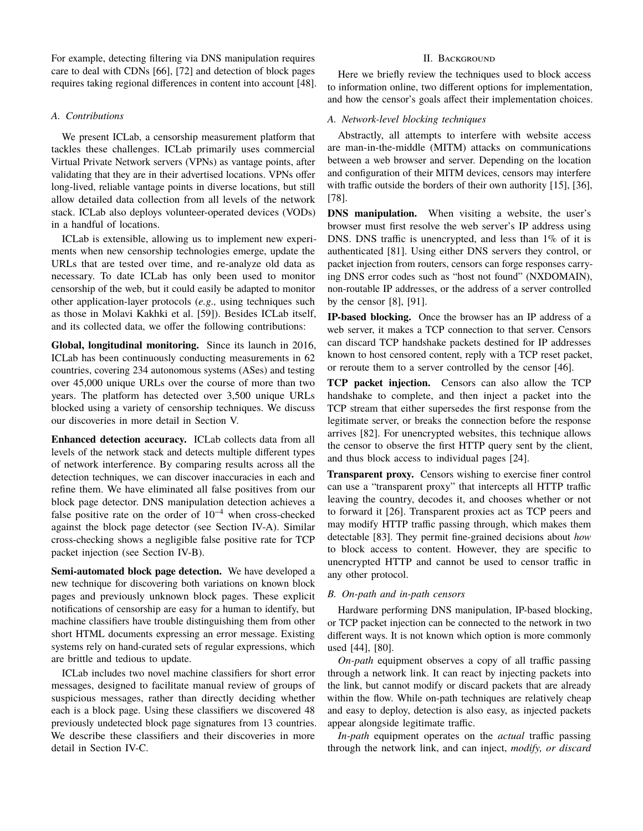For example, detecting filtering via DNS manipulation requires care to deal with CDNs [66], [72] and detection of block pages requires taking regional differences in content into account [48].

### *A. Contributions*

We present ICLab, a censorship measurement platform that tackles these challenges. ICLab primarily uses commercial Virtual Private Network servers (VPNs) as vantage points, after validating that they are in their advertised locations. VPNs offer long-lived, reliable vantage points in diverse locations, but still allow detailed data collection from all levels of the network stack. ICLab also deploys volunteer-operated devices (VODs) in a handful of locations.

ICLab is extensible, allowing us to implement new experiments when new censorship technologies emerge, update the URLs that are tested over time, and re-analyze old data as necessary. To date ICLab has only been used to monitor censorship of the web, but it could easily be adapted to monitor other application-layer protocols (*e.g.,* using techniques such as those in Molavi Kakhki et al. [59]). Besides ICLab itself, and its collected data, we offer the following contributions:

**Global, longitudinal monitoring.** Since its launch in 2016, ICLab has been continuously conducting measurements in 62 countries, covering 234 autonomous systems (ASes) and testing over 45,000 unique URLs over the course of more than two years. The platform has detected over 3,500 unique URLs blocked using a variety of censorship techniques. We discuss our discoveries in more detail in Section V.

**Enhanced detection accuracy.** ICLab collects data from all levels of the network stack and detects multiple different types of network interference. By comparing results across all the detection techniques, we can discover inaccuracies in each and refine them. We have eliminated all false positives from our block page detector. DNS manipulation detection achieves a false positive rate on the order of  $10^{-4}$  when cross-checked against the block page detector (see Section IV-A). Similar cross-checking shows a negligible false positive rate for TCP packet injection (see Section IV-B).

**Semi-automated block page detection.** We have developed a new technique for discovering both variations on known block pages and previously unknown block pages. These explicit notifications of censorship are easy for a human to identify, but machine classifiers have trouble distinguishing them from other short HTML documents expressing an error message. Existing systems rely on hand-curated sets of regular expressions, which are brittle and tedious to update.

ICLab includes two novel machine classifiers for short error messages, designed to facilitate manual review of groups of suspicious messages, rather than directly deciding whether each is a block page. Using these classifiers we discovered 48 previously undetected block page signatures from 13 countries. We describe these classifiers and their discoveries in more detail in Section IV-C.

# II. BACKGROUND

Here we briefly review the techniques used to block access to information online, two different options for implementation, and how the censor's goals affect their implementation choices.

#### *A. Network-level blocking techniques*

Abstractly, all attempts to interfere with website access are man-in-the-middle (MITM) attacks on communications between a web browser and server. Depending on the location and configuration of their MITM devices, censors may interfere with traffic outside the borders of their own authority [15], [36], [78].

**DNS manipulation.** When visiting a website, the user's browser must first resolve the web server's IP address using DNS. DNS traffic is unencrypted, and less than 1% of it is authenticated [81]. Using either DNS servers they control, or packet injection from routers, censors can forge responses carrying DNS error codes such as "host not found" (NXDOMAIN), non-routable IP addresses, or the address of a server controlled by the censor [8], [91].

**IP-based blocking.** Once the browser has an IP address of a web server, it makes a TCP connection to that server. Censors can discard TCP handshake packets destined for IP addresses known to host censored content, reply with a TCP reset packet, or reroute them to a server controlled by the censor [46].

**TCP packet injection.** Censors can also allow the TCP handshake to complete, and then inject a packet into the TCP stream that either supersedes the first response from the legitimate server, or breaks the connection before the response arrives [82]. For unencrypted websites, this technique allows the censor to observe the first HTTP query sent by the client, and thus block access to individual pages [24].

**Transparent proxy.** Censors wishing to exercise finer control can use a "transparent proxy" that intercepts all HTTP traffic leaving the country, decodes it, and chooses whether or not to forward it [26]. Transparent proxies act as TCP peers and may modify HTTP traffic passing through, which makes them detectable [83]. They permit fine-grained decisions about *how* to block access to content. However, they are specific to unencrypted HTTP and cannot be used to censor traffic in any other protocol.

#### *B. On-path and in-path censors*

Hardware performing DNS manipulation, IP-based blocking, or TCP packet injection can be connected to the network in two different ways. It is not known which option is more commonly used [44], [80].

*On-path* equipment observes a copy of all traffic passing through a network link. It can react by injecting packets into the link, but cannot modify or discard packets that are already within the flow. While on-path techniques are relatively cheap and easy to deploy, detection is also easy, as injected packets appear alongside legitimate traffic.

*In-path* equipment operates on the *actual* traffic passing through the network link, and can inject, *modify, or discard*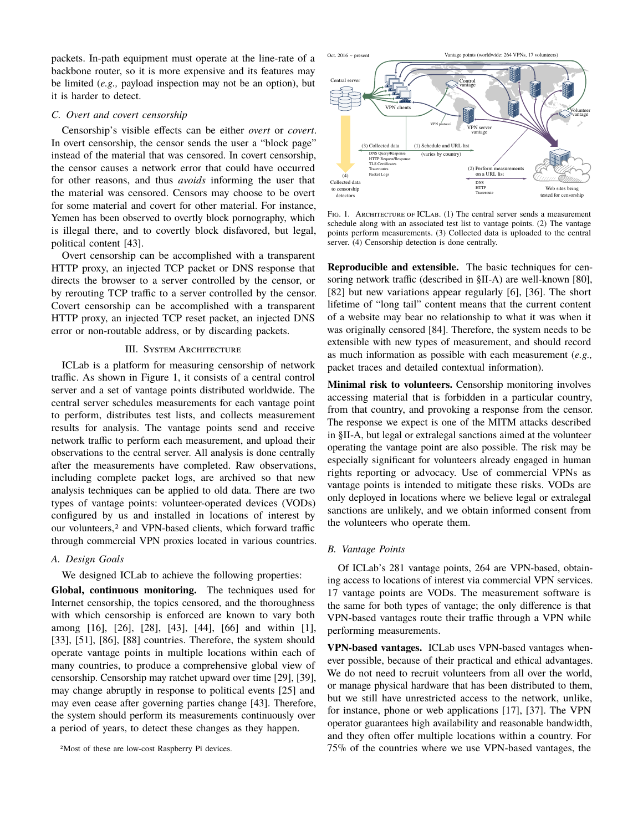packets. In-path equipment must operate at the line-rate of a backbone router, so it is more expensive and its features may be limited (*e.g.,* payload inspection may not be an option), but it is harder to detect.

#### *C. Overt and covert censorship*

Censorship's visible effects can be either *overt* or *covert*. In overt censorship, the censor sends the user a "block page" instead of the material that was censored. In covert censorship, the censor causes a network error that could have occurred for other reasons, and thus *avoids* informing the user that the material was censored. Censors may choose to be overt for some material and covert for other material. For instance, Yemen has been observed to overtly block pornography, which is illegal there, and to covertly block disfavored, but legal, political content [43].

Overt censorship can be accomplished with a transparent HTTP proxy, an injected TCP packet or DNS response that directs the browser to a server controlled by the censor, or by rerouting TCP traffic to a server controlled by the censor. Covert censorship can be accomplished with a transparent HTTP proxy, an injected TCP reset packet, an injected DNS error or non-routable address, or by discarding packets.

# III. System Architecture

ICLab is a platform for measuring censorship of network traffic. As shown in Figure 1, it consists of a central control server and a set of vantage points distributed worldwide. The central server schedules measurements for each vantage point to perform, distributes test lists, and collects measurement results for analysis. The vantage points send and receive network traffic to perform each measurement, and upload their observations to the central server. All analysis is done centrally after the measurements have completed. Raw observations, including complete packet logs, are archived so that new analysis techniques can be applied to old data. There are two types of vantage points: volunteer-operated devices (VODs) configured by us and installed in locations of interest by our volunteers,2 and VPN-based clients, which forward traffic through commercial VPN proxies located in various countries.

# *A. Design Goals*

We designed ICLab to achieve the following properties:

**Global, continuous monitoring.** The techniques used for Internet censorship, the topics censored, and the thoroughness with which censorship is enforced are known to vary both among [16], [26], [28], [43], [44], [66] and within [1], [33], [51], [86], [88] countries. Therefore, the system should operate vantage points in multiple locations within each of many countries, to produce a comprehensive global view of censorship. Censorship may ratchet upward over time [29], [39], may change abruptly in response to political events [25] and may even cease after governing parties change [43]. Therefore, the system should perform its measurements continuously over a period of years, to detect these changes as they happen.

2Most of these are low-cost Raspberry Pi devices.



FIG. 1. ARCHITECTURE OF ICLAB. (1) The central server sends a measurement schedule along with an associated test list to vantage points. (2) The vantage points perform measurements. (3) Collected data is uploaded to the central server. (4) Censorship detection is done centrally.

**Reproducible and extensible.** The basic techniques for censoring network traffic (described in §II-A) are well-known [80], [82] but new variations appear regularly [6], [36]. The short lifetime of "long tail" content means that the current content of a website may bear no relationship to what it was when it was originally censored [84]. Therefore, the system needs to be extensible with new types of measurement, and should record as much information as possible with each measurement (*e.g.,* packet traces and detailed contextual information).

**Minimal risk to volunteers.** Censorship monitoring involves accessing material that is forbidden in a particular country, from that country, and provoking a response from the censor. The response we expect is one of the MITM attacks described in §II-A, but legal or extralegal sanctions aimed at the volunteer operating the vantage point are also possible. The risk may be especially significant for volunteers already engaged in human rights reporting or advocacy. Use of commercial VPNs as vantage points is intended to mitigate these risks. VODs are only deployed in locations where we believe legal or extralegal sanctions are unlikely, and we obtain informed consent from the volunteers who operate them.

# *B. Vantage Points*

Of ICLab's 281 vantage points, 264 are VPN-based, obtaining access to locations of interest via commercial VPN services. 17 vantage points are VODs. The measurement software is the same for both types of vantage; the only difference is that VPN-based vantages route their traffic through a VPN while performing measurements.

**VPN-based vantages.** ICLab uses VPN-based vantages whenever possible, because of their practical and ethical advantages. We do not need to recruit volunteers from all over the world, or manage physical hardware that has been distributed to them, but we still have unrestricted access to the network, unlike, for instance, phone or web applications [17], [37]. The VPN operator guarantees high availability and reasonable bandwidth, and they often offer multiple locations within a country. For 75% of the countries where we use VPN-based vantages, the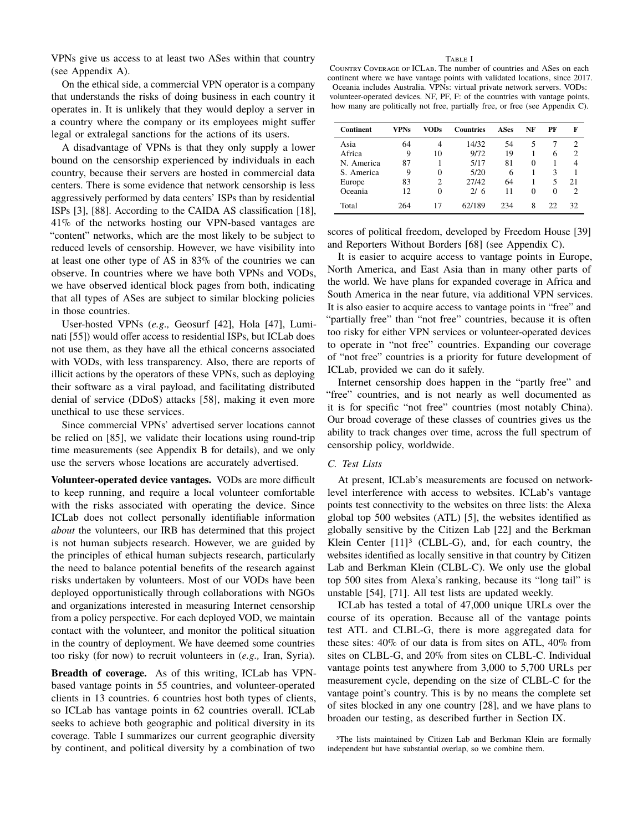VPNs give us access to at least two ASes within that country (see Appendix A).

On the ethical side, a commercial VPN operator is a company that understands the risks of doing business in each country it operates in. It is unlikely that they would deploy a server in a country where the company or its employees might suffer legal or extralegal sanctions for the actions of its users.

A disadvantage of VPNs is that they only supply a lower bound on the censorship experienced by individuals in each country, because their servers are hosted in commercial data centers. There is some evidence that network censorship is less aggressively performed by data centers' ISPs than by residential ISPs [3], [88]. According to the CAIDA AS classification [18], 41% of the networks hosting our VPN-based vantages are "content" networks, which are the most likely to be subject to reduced levels of censorship. However, we have visibility into at least one other type of AS in 83% of the countries we can observe. In countries where we have both VPNs and VODs, we have observed identical block pages from both, indicating that all types of ASes are subject to similar blocking policies in those countries.

User-hosted VPNs (*e.g.,* Geosurf [42], Hola [47], Luminati [55]) would offer access to residential ISPs, but ICLab does not use them, as they have all the ethical concerns associated with VODs, with less transparency. Also, there are reports of illicit actions by the operators of these VPNs, such as deploying their software as a viral payload, and facilitating distributed denial of service (DDoS) attacks [58], making it even more unethical to use these services.

Since commercial VPNs' advertised server locations cannot be relied on [85], we validate their locations using round-trip time measurements (see Appendix B for details), and we only use the servers whose locations are accurately advertised.

**Volunteer-operated device vantages.** VODs are more difficult to keep running, and require a local volunteer comfortable with the risks associated with operating the device. Since ICLab does not collect personally identifiable information *about* the volunteers, our IRB has determined that this project is not human subjects research. However, we are guided by the principles of ethical human subjects research, particularly the need to balance potential benefits of the research against risks undertaken by volunteers. Most of our VODs have been deployed opportunistically through collaborations with NGOs and organizations interested in measuring Internet censorship from a policy perspective. For each deployed VOD, we maintain contact with the volunteer, and monitor the political situation in the country of deployment. We have deemed some countries too risky (for now) to recruit volunteers in (*e.g.,* Iran, Syria).

**Breadth of coverage.** As of this writing, ICLab has VPNbased vantage points in 55 countries, and volunteer-operated clients in 13 countries. 6 countries host both types of clients, so ICLab has vantage points in 62 countries overall. ICLab seeks to achieve both geographic and political diversity in its coverage. Table I summarizes our current geographic diversity by continent, and political diversity by a combination of two

#### Table I

Country Coverage of ICLab. The number of countries and ASes on each continent where we have vantage points with validated locations, since 2017. Oceania includes Australia. VPNs: virtual private network servers. VODs: volunteer-operated devices. NF, PF, F: of the countries with vantage points, how many are politically not free, partially free, or free (see Appendix C).

| <b>Continent</b> | VPNs | VODs           | <b>Countries</b> | ASes | NF | PF | F              |
|------------------|------|----------------|------------------|------|----|----|----------------|
| Asia             | 64   | 4              | 14/32            | 54   | 5  |    | 2              |
| Africa           | 9    | 10             | 9/72             | 19   |    | 6  | $\overline{c}$ |
| N. America       | 87   |                | 5/17             | 81   | 0  |    | 4              |
| S. America       | 9    | 0              | 5/20             | 6    |    | 3  |                |
| Europe           | 83   | $\mathfrak{D}$ | 27/42            | 64   |    | 5  | 21             |
| Oceania          | 12   | 0              | 2/6              | 11   | 0  | 0  | 2              |
| Total            | 264  | 17             | 62/189           | 234  | 8  | 22 | 32             |

scores of political freedom, developed by Freedom House [39] and Reporters Without Borders [68] (see Appendix C).

It is easier to acquire access to vantage points in Europe, North America, and East Asia than in many other parts of the world. We have plans for expanded coverage in Africa and South America in the near future, via additional VPN services. It is also easier to acquire access to vantage points in "free" and "partially free" than "not free" countries, because it is often too risky for either VPN services or volunteer-operated devices to operate in "not free" countries. Expanding our coverage of "not free" countries is a priority for future development of ICLab, provided we can do it safely.

Internet censorship does happen in the "partly free" and "free" countries, and is not nearly as well documented as it is for specific "not free" countries (most notably China). Our broad coverage of these classes of countries gives us the ability to track changes over time, across the full spectrum of censorship policy, worldwide.

#### *C. Test Lists*

At present, ICLab's measurements are focused on networklevel interference with access to websites. ICLab's vantage points test connectivity to the websites on three lists: the Alexa global top 500 websites (ATL) [5], the websites identified as globally sensitive by the Citizen Lab [22] and the Berkman Klein Center  $[11]$ <sup>3</sup> (CLBL-G), and, for each country, the websites identified as locally sensitive in that country by Citizen Lab and Berkman Klein (CLBL-C). We only use the global top 500 sites from Alexa's ranking, because its "long tail" is unstable [54], [71]. All test lists are updated weekly.

ICLab has tested a total of 47,000 unique URLs over the course of its operation. Because all of the vantage points test ATL and CLBL-G, there is more aggregated data for these sites: 40% of our data is from sites on ATL, 40% from sites on CLBL-G, and 20% from sites on CLBL-C. Individual vantage points test anywhere from 3,000 to 5,700 URLs per measurement cycle, depending on the size of CLBL-C for the vantage point's country. This is by no means the complete set of sites blocked in any one country [28], and we have plans to broaden our testing, as described further in Section IX.

<sup>&</sup>lt;sup>3</sup>The lists maintained by Citizen Lab and Berkman Klein are formally independent but have substantial overlap, so we combine them.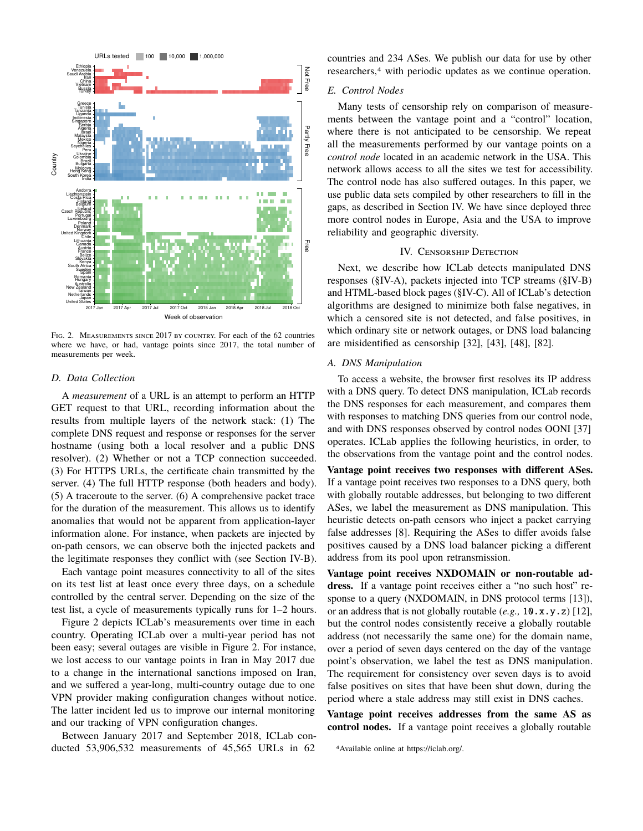

FIG. 2. MEASUREMENTS SINCE 2017 BY COUNTRY. For each of the 62 countries where we have, or had, vantage points since 2017, the total number of measurements per week.

#### *D. Data Collection*

A *measurement* of a URL is an attempt to perform an HTTP GET request to that URL, recording information about the results from multiple layers of the network stack: (1) The complete DNS request and response or responses for the server hostname (using both a local resolver and a public DNS resolver). (2) Whether or not a TCP connection succeeded. (3) For HTTPS URLs, the certificate chain transmitted by the server. (4) The full HTTP response (both headers and body). (5) A traceroute to the server. (6) A comprehensive packet trace for the duration of the measurement. This allows us to identify anomalies that would not be apparent from application-layer information alone. For instance, when packets are injected by on-path censors, we can observe both the injected packets and the legitimate responses they conflict with (see Section IV-B).

Each vantage point measures connectivity to all of the sites on its test list at least once every three days, on a schedule controlled by the central server. Depending on the size of the test list, a cycle of measurements typically runs for 1–2 hours.

Figure 2 depicts ICLab's measurements over time in each country. Operating ICLab over a multi-year period has not been easy; several outages are visible in Figure 2. For instance, we lost access to our vantage points in Iran in May 2017 due to a change in the international sanctions imposed on Iran, and we suffered a year-long, multi-country outage due to one VPN provider making configuration changes without notice. The latter incident led us to improve our internal monitoring and our tracking of VPN configuration changes.

Between January 2017 and September 2018, ICLab conducted 53,906,532 measurements of 45,565 URLs in 62

countries and 234 ASes. We publish our data for use by other researchers,4 with periodic updates as we continue operation.

# *E. Control Nodes*

Many tests of censorship rely on comparison of measurements between the vantage point and a "control" location, where there is not anticipated to be censorship. We repeat all the measurements performed by our vantage points on a *control node* located in an academic network in the USA. This network allows access to all the sites we test for accessibility. The control node has also suffered outages. In this paper, we use public data sets compiled by other researchers to fill in the gaps, as described in Section IV. We have since deployed three more control nodes in Europe, Asia and the USA to improve reliability and geographic diversity.

#### IV. CENSORSHIP DETECTION

Next, we describe how ICLab detects manipulated DNS responses (§IV-A), packets injected into TCP streams (§IV-B) and HTML-based block pages (§IV-C). All of ICLab's detection algorithms are designed to minimize both false negatives, in which a censored site is not detected, and false positives, in which ordinary site or network outages, or DNS load balancing are misidentified as censorship [32], [43], [48], [82].

# *A. DNS Manipulation*

To access a website, the browser first resolves its IP address with a DNS query. To detect DNS manipulation, ICLab records the DNS responses for each measurement, and compares them with responses to matching DNS queries from our control node, and with DNS responses observed by control nodes OONI [37] operates. ICLab applies the following heuristics, in order, to the observations from the vantage point and the control nodes.

**Vantage point receives two responses with different ASes.** If a vantage point receives two responses to a DNS query, both with globally routable addresses, but belonging to two different ASes, we label the measurement as DNS manipulation. This heuristic detects on-path censors who inject a packet carrying false addresses [8]. Requiring the ASes to differ avoids false positives caused by a DNS load balancer picking a different address from its pool upon retransmission.

**Vantage point receives NXDOMAIN or non-routable ad**dress. If a vantage point receives either a "no such host" response to a query (NXDOMAIN, in DNS protocol terms [13]), or an address that is not globally routable (*e.g.,* 10.x.y.z) [12], but the control nodes consistently receive a globally routable address (not necessarily the same one) for the domain name, over a period of seven days centered on the day of the vantage point's observation, we label the test as DNS manipulation. The requirement for consistency over seven days is to avoid false positives on sites that have been shut down, during the period where a stale address may still exist in DNS caches.

**Vantage point receives addresses from the same AS as control nodes.** If a vantage point receives a globally routable

<sup>4</sup>Available online at https://iclab.org/.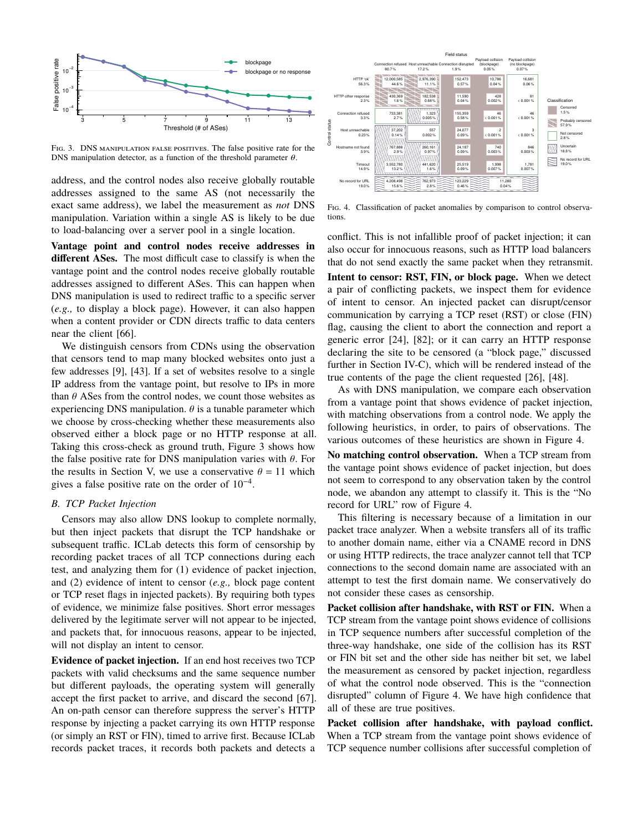

Fig. 3. DNS manipulation false positives. The false positive rate for the DNS manipulation detector, as a function of the threshold parameter  $\theta$ .

address, and the control nodes also receive globally routable addresses assigned to the same AS (not necessarily the exact same address), we label the measurement as *not* DNS manipulation. Variation within a single AS is likely to be due to load-balancing over a server pool in a single location.

**Vantage point and control nodes receive addresses in different ASes.** The most difficult case to classify is when the vantage point and the control nodes receive globally routable addresses assigned to different ASes. This can happen when DNS manipulation is used to redirect traffic to a specific server (*e.g.,* to display a block page). However, it can also happen when a content provider or CDN directs traffic to data centers near the client [66].

We distinguish censors from CDNs using the observation that censors tend to map many blocked websites onto just a few addresses [9], [43]. If a set of websites resolve to a single IP address from the vantage point, but resolve to IPs in more than  $\theta$  ASes from the control nodes, we count those websites as experiencing DNS manipulation.  $\theta$  is a tunable parameter which we choose by cross-checking whether these measurements also observed either a block page or no HTTP response at all. Taking this cross-check as ground truth, Figure 3 shows how the false positive rate for DNS manipulation varies with  $\theta$ . For the results in Section V, we use a conservative  $\theta = 11$  which gives a false positive rate on the order of  $10^{-4}$ .

# *B. TCP Packet Injection*

Censors may also allow DNS lookup to complete normally, but then inject packets that disrupt the TCP handshake or subsequent traffic. ICLab detects this form of censorship by recording packet traces of all TCP connections during each test, and analyzing them for (1) evidence of packet injection, and (2) evidence of intent to censor (*e.g.,* block page content or TCP reset flags in injected packets). By requiring both types of evidence, we minimize false positives. Short error messages delivered by the legitimate server will not appear to be injected, and packets that, for innocuous reasons, appear to be injected, will not display an intent to censor.

**Evidence of packet injection.** If an end host receives two TCP packets with valid checksums and the same sequence number but different payloads, the operating system will generally accept the first packet to arrive, and discard the second [67]. An on-path censor can therefore suppress the server's HTTP response by injecting a packet carrying its own HTTP response (or simply an RST or FIN), timed to arrive first. Because ICLab records packet traces, it records both packets and detects a



Fig. 4. Classification of packet anomalies by comparison to control observations.

conflict. This is not infallible proof of packet injection; it can also occur for innocuous reasons, such as HTTP load balancers that do not send exactly the same packet when they retransmit. **Intent to censor: RST, FIN, or block page.** When we detect a pair of conflicting packets, we inspect them for evidence of intent to censor. An injected packet can disrupt/censor communication by carrying a TCP reset (RST) or close (FIN) flag, causing the client to abort the connection and report a generic error [24], [82]; or it can carry an HTTP response declaring the site to be censored (a "block page," discussed further in Section IV-C), which will be rendered instead of the true contents of the page the client requested [26], [48].

As with DNS manipulation, we compare each observation from a vantage point that shows evidence of packet injection, with matching observations from a control node. We apply the following heuristics, in order, to pairs of observations. The various outcomes of these heuristics are shown in Figure 4.

**No matching control observation.** When a TCP stream from the vantage point shows evidence of packet injection, but does not seem to correspond to any observation taken by the control node, we abandon any attempt to classify it. This is the "No record for URL" row of Figure 4.

This filtering is necessary because of a limitation in our packet trace analyzer. When a website transfers all of its traffic to another domain name, either via a CNAME record in DNS or using HTTP redirects, the trace analyzer cannot tell that TCP connections to the second domain name are associated with an attempt to test the first domain name. We conservatively do not consider these cases as censorship.

**Packet collision after handshake, with RST or FIN.** When a TCP stream from the vantage point shows evidence of collisions in TCP sequence numbers after successful completion of the three-way handshake, one side of the collision has its RST or FIN bit set and the other side has neither bit set, we label the measurement as censored by packet injection, regardless of what the control node observed. This is the "connection disrupted" column of Figure 4. We have high confidence that all of these are true positives.

**Packet collision after handshake, with payload conflict.** When a TCP stream from the vantage point shows evidence of TCP sequence number collisions after successful completion of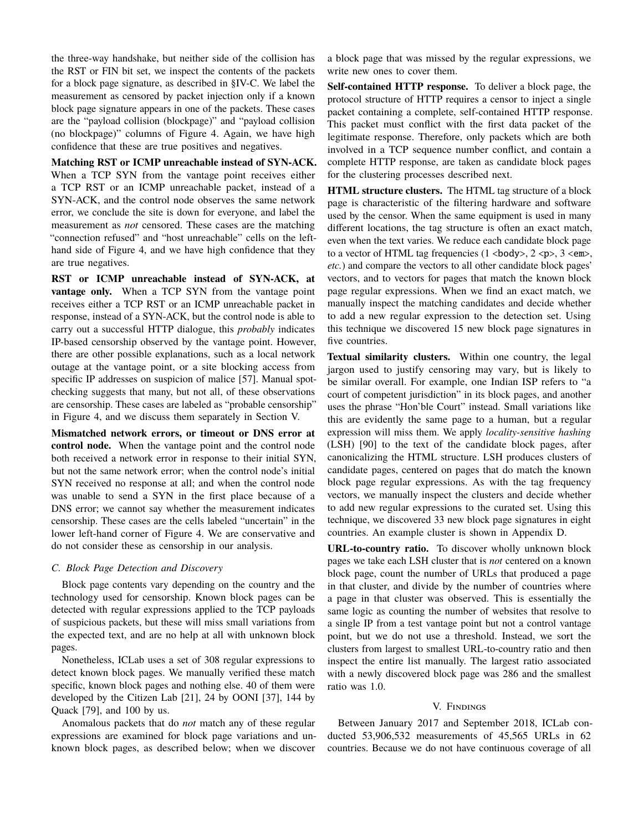the three-way handshake, but neither side of the collision has the RST or FIN bit set, we inspect the contents of the packets for a block page signature, as described in §IV-C. We label the measurement as censored by packet injection only if a known block page signature appears in one of the packets. These cases are the "payload collision (blockpage)" and "payload collision (no blockpage)" columns of Figure 4. Again, we have high confidence that these are true positives and negatives.

**Matching RST or ICMP unreachable instead of SYN-ACK.** When a TCP SYN from the vantage point receives either a TCP RST or an ICMP unreachable packet, instead of a SYN-ACK, and the control node observes the same network error, we conclude the site is down for everyone, and label the measurement as *not* censored. These cases are the matching "connection refused" and "host unreachable" cells on the lefthand side of Figure 4, and we have high confidence that they are true negatives.

**RST or ICMP unreachable instead of SYN-ACK, at vantage only.** When a TCP SYN from the vantage point receives either a TCP RST or an ICMP unreachable packet in response, instead of a SYN-ACK, but the control node is able to carry out a successful HTTP dialogue, this *probably* indicates IP-based censorship observed by the vantage point. However, there are other possible explanations, such as a local network outage at the vantage point, or a site blocking access from specific IP addresses on suspicion of malice [57]. Manual spotchecking suggests that many, but not all, of these observations are censorship. These cases are labeled as "probable censorship" in Figure 4, and we discuss them separately in Section V.

**Mismatched network errors, or timeout or DNS error at control node.** When the vantage point and the control node both received a network error in response to their initial SYN, but not the same network error; when the control node's initial SYN received no response at all; and when the control node was unable to send a SYN in the first place because of a DNS error; we cannot say whether the measurement indicates censorship. These cases are the cells labeled "uncertain" in the lower left-hand corner of Figure 4. We are conservative and do not consider these as censorship in our analysis.

### *C. Block Page Detection and Discovery*

Block page contents vary depending on the country and the technology used for censorship. Known block pages can be detected with regular expressions applied to the TCP payloads of suspicious packets, but these will miss small variations from the expected text, and are no help at all with unknown block pages.

Nonetheless, ICLab uses a set of 308 regular expressions to detect known block pages. We manually verified these match specific, known block pages and nothing else. 40 of them were developed by the Citizen Lab [21], 24 by OONI [37], 144 by Quack [79], and 100 by us.

Anomalous packets that do *not* match any of these regular expressions are examined for block page variations and unknown block pages, as described below; when we discover

a block page that was missed by the regular expressions, we write new ones to cover them.

**Self-contained HTTP response.** To deliver a block page, the protocol structure of HTTP requires a censor to inject a single packet containing a complete, self-contained HTTP response. This packet must conflict with the first data packet of the legitimate response. Therefore, only packets which are both involved in a TCP sequence number conflict, and contain a complete HTTP response, are taken as candidate block pages for the clustering processes described next.

**HTML structure clusters.** The HTML tag structure of a block page is characteristic of the filtering hardware and software used by the censor. When the same equipment is used in many different locations, the tag structure is often an exact match, even when the text varies. We reduce each candidate block page to a vector of HTML tag frequencies  $(1 \text{ }, 2 \text{ },$ *etc.*) and compare the vectors to all other candidate block pages' vectors, and to vectors for pages that match the known block page regular expressions. When we find an exact match, we manually inspect the matching candidates and decide whether to add a new regular expression to the detection set. Using this technique we discovered 15 new block page signatures in five countries.

**Textual similarity clusters.** Within one country, the legal jargon used to justify censoring may vary, but is likely to be similar overall. For example, one Indian ISP refers to "a court of competent jurisdiction" in its block pages, and another uses the phrase "Hon'ble Court" instead. Small variations like this are evidently the same page to a human, but a regular expression will miss them. We apply *locality-sensitive hashing* (LSH) [90] to the text of the candidate block pages, after canonicalizing the HTML structure. LSH produces clusters of candidate pages, centered on pages that do match the known block page regular expressions. As with the tag frequency vectors, we manually inspect the clusters and decide whether to add new regular expressions to the curated set. Using this technique, we discovered 33 new block page signatures in eight countries. An example cluster is shown in Appendix D.

**URL-to-country ratio.** To discover wholly unknown block pages we take each LSH cluster that is *not* centered on a known block page, count the number of URLs that produced a page in that cluster, and divide by the number of countries where a page in that cluster was observed. This is essentially the same logic as counting the number of websites that resolve to a single IP from a test vantage point but not a control vantage point, but we do not use a threshold. Instead, we sort the clusters from largest to smallest URL-to-country ratio and then inspect the entire list manually. The largest ratio associated with a newly discovered block page was 286 and the smallest ratio was 1.0.

### V. Findings

Between January 2017 and September 2018, ICLab conducted 53,906,532 measurements of 45,565 URLs in 62 countries. Because we do not have continuous coverage of all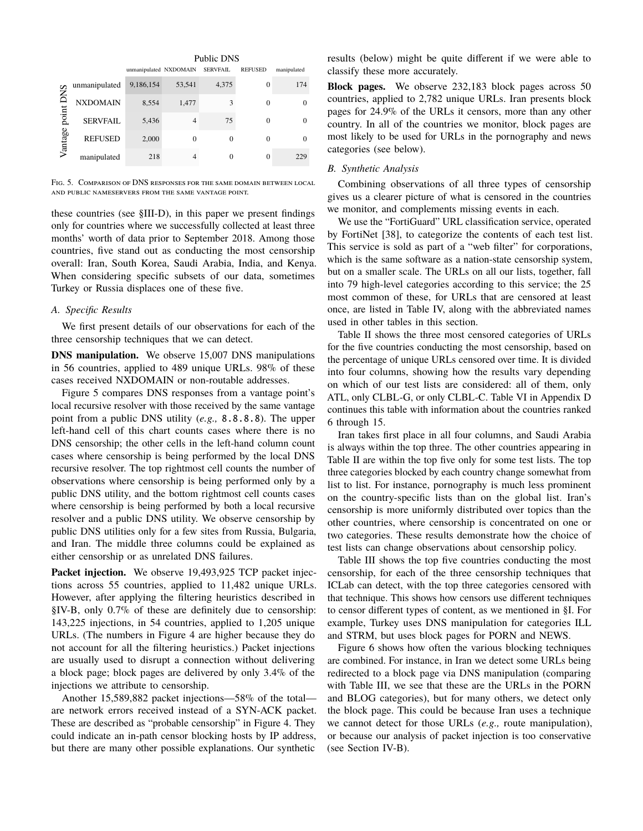|                   |                 | Public DNS             |                |                 |                |             |  |  |  |  |
|-------------------|-----------------|------------------------|----------------|-----------------|----------------|-------------|--|--|--|--|
|                   |                 | unmanipulated NXDOMAIN |                | <b>SERVFAIL</b> | <b>REFUSED</b> | manipulated |  |  |  |  |
|                   | unmanipulated   | 9,186,154              | 53,541         | 4,375           | $\Omega$       | 174         |  |  |  |  |
|                   | <b>NXDOMAIN</b> | 8,554                  | 1,477          | 3               | 0              | $\Omega$    |  |  |  |  |
|                   | <b>SERVFAIL</b> | 5,436                  | $\overline{4}$ | 75              | $\Omega$       | $\Omega$    |  |  |  |  |
| Vantage point DNS | <b>REFUSED</b>  | 2,000                  | $\mathbf{0}$   | $\Omega$        | $\theta$       | $\Omega$    |  |  |  |  |
|                   | manipulated     | 218                    | 4              | 0               | $\Omega$       | 229         |  |  |  |  |

Fig. 5. Comparison of DNS responses for the same domain between local and public nameservers from the same vantage point.

these countries (see §III-D), in this paper we present findings only for countries where we successfully collected at least three months' worth of data prior to September 2018. Among those countries, five stand out as conducting the most censorship overall: Iran, South Korea, Saudi Arabia, India, and Kenya. When considering specific subsets of our data, sometimes Turkey or Russia displaces one of these five.

# *A. Specific Results*

We first present details of our observations for each of the three censorship techniques that we can detect.

**DNS manipulation.** We observe 15,007 DNS manipulations in 56 countries, applied to 489 unique URLs. 98% of these cases received NXDOMAIN or non-routable addresses.

Figure 5 compares DNS responses from a vantage point's local recursive resolver with those received by the same vantage point from a public DNS utility (*e.g.,* 8.8.8.8). The upper left-hand cell of this chart counts cases where there is no DNS censorship; the other cells in the left-hand column count cases where censorship is being performed by the local DNS recursive resolver. The top rightmost cell counts the number of observations where censorship is being performed only by a public DNS utility, and the bottom rightmost cell counts cases where censorship is being performed by both a local recursive resolver and a public DNS utility. We observe censorship by public DNS utilities only for a few sites from Russia, Bulgaria, and Iran. The middle three columns could be explained as either censorship or as unrelated DNS failures.

Packet injection. We observe 19,493,925 TCP packet injections across 55 countries, applied to 11,482 unique URLs. However, after applying the filtering heuristics described in §IV-B, only 0.7% of these are definitely due to censorship: 143,225 injections, in 54 countries, applied to 1,205 unique URLs. (The numbers in Figure 4 are higher because they do not account for all the filtering heuristics.) Packet injections are usually used to disrupt a connection without delivering a block page; block pages are delivered by only 3.4% of the injections we attribute to censorship.

Another 15,589,882 packet injections—58% of the total are network errors received instead of a SYN-ACK packet. These are described as "probable censorship" in Figure 4. They could indicate an in-path censor blocking hosts by IP address, but there are many other possible explanations. Our synthetic

results (below) might be quite different if we were able to classify these more accurately.

**Block pages.** We observe 232,183 block pages across 50 countries, applied to 2,782 unique URLs. Iran presents block pages for 24.9% of the URLs it censors, more than any other country. In all of the countries we monitor, block pages are most likely to be used for URLs in the pornography and news categories (see below).

#### *B. Synthetic Analysis*

Combining observations of all three types of censorship gives us a clearer picture of what is censored in the countries we monitor, and complements missing events in each.

We use the "FortiGuard" URL classification service, operated by FortiNet [38], to categorize the contents of each test list. This service is sold as part of a "web filter" for corporations, which is the same software as a nation-state censorship system, but on a smaller scale. The URLs on all our lists, together, fall into 79 high-level categories according to this service; the 25 most common of these, for URLs that are censored at least once, are listed in Table IV, along with the abbreviated names used in other tables in this section.

Table II shows the three most censored categories of URLs for the five countries conducting the most censorship, based on the percentage of unique URLs censored over time. It is divided into four columns, showing how the results vary depending on which of our test lists are considered: all of them, only ATL, only CLBL-G, or only CLBL-C. Table VI in Appendix D continues this table with information about the countries ranked 6 through 15.

Iran takes first place in all four columns, and Saudi Arabia is always within the top three. The other countries appearing in Table II are within the top five only for some test lists. The top three categories blocked by each country change somewhat from list to list. For instance, pornography is much less prominent on the country-specific lists than on the global list. Iran's censorship is more uniformly distributed over topics than the other countries, where censorship is concentrated on one or two categories. These results demonstrate how the choice of test lists can change observations about censorship policy.

Table III shows the top five countries conducting the most censorship, for each of the three censorship techniques that ICLab can detect, with the top three categories censored with that technique. This shows how censors use different techniques to censor different types of content, as we mentioned in §I. For example, Turkey uses DNS manipulation for categories ILL and STRM, but uses block pages for PORN and NEWS.

Figure 6 shows how often the various blocking techniques are combined. For instance, in Iran we detect some URLs being redirected to a block page via DNS manipulation (comparing with Table III, we see that these are the URLs in the PORN and BLOG categories), but for many others, we detect only the block page. This could be because Iran uses a technique we cannot detect for those URLs (*e.g.,* route manipulation), or because our analysis of packet injection is too conservative (see Section IV-B).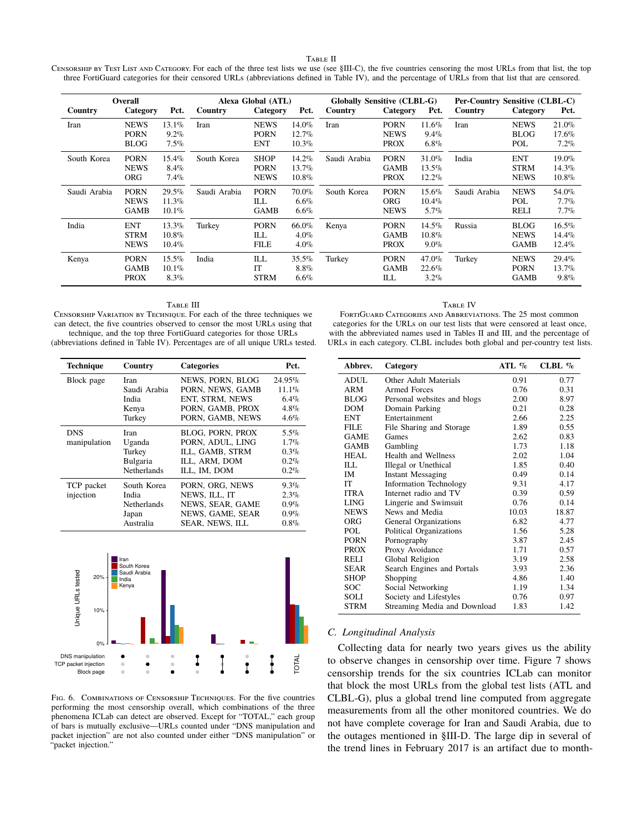#### Table II

Censorship by Test List and Category. For each of the three test lists we use (see §III-C), the five countries censoring the most URLs from that list, the top three FortiGuard categories for their censored URLs (abbreviations defined in Table IV), and the percentage of URLs from that list that are censored.

| Country      | Overall<br>Category                       | Pct.                             | Country      | Alexa Global (ATL)<br>Pct.<br>Category    |                                |              | <b>Globally Sensitive (CLBL-G)</b><br>Pct.<br>Category<br>Country |                                 |              | Per-Country Sensitive (CLBL-C)<br>Pct.<br>Category<br>Country |                               |  |
|--------------|-------------------------------------------|----------------------------------|--------------|-------------------------------------------|--------------------------------|--------------|-------------------------------------------------------------------|---------------------------------|--------------|---------------------------------------------------------------|-------------------------------|--|
| Iran         | <b>NEWS</b><br><b>PORN</b><br><b>BLOG</b> | $13.1\%$<br>$9.2\%$<br>$7.5\%$   | Iran         | <b>NEWS</b><br><b>PORN</b><br><b>ENT</b>  | 14.0%<br>$12.7\%$<br>$10.3\%$  | Iran         | <b>PORN</b><br><b>NEWS</b><br><b>PROX</b>                         | 11.6%<br>$9.4\%$<br>$6.8\%$     | Iran         | <b>NEWS</b><br><b>BLOG</b><br>POL                             | 21.0%<br>$17.6\%$<br>$7.2\%$  |  |
| South Korea  | <b>PORN</b><br><b>NEWS</b><br><b>ORG</b>  | 15.4%<br>$8.4\%$<br>$7.4\%$      | South Korea  | <b>SHOP</b><br><b>PORN</b><br><b>NEWS</b> | 14.2%<br>13.7%<br>$10.8\%$     | Saudi Arabia | <b>PORN</b><br><b>GAMB</b><br><b>PROX</b>                         | 31.0%<br>$13.5\%$<br>$12.2\%$   | India        | <b>ENT</b><br><b>STRM</b><br><b>NEWS</b>                      | 19.0%<br>14.3%<br>$10.8\%$    |  |
| Saudi Arabia | <b>PORN</b><br><b>NEWS</b><br><b>GAMB</b> | 29.5%<br>$11.3\%$<br>$10.1\%$    | Saudi Arabia | <b>PORN</b><br>ILL<br><b>GAMB</b>         | 70.0%<br>$6.6\%$<br>$6.6\%$    | South Korea  | <b>PORN</b><br><b>ORG</b><br><b>NEWS</b>                          | 15.6%<br>$10.4\%$<br>$5.7\%$    | Saudi Arabia | <b>NEWS</b><br>POL<br><b>RELI</b>                             | 54.0%<br>$7.7\%$<br>$7.7\%$   |  |
| India        | <b>ENT</b><br><b>STRM</b><br><b>NEWS</b>  | $13.3\%$<br>$10.8\%$<br>$10.4\%$ | Turkey       | <b>PORN</b><br>ILL<br><b>FILE</b>         | 66.0%<br>$4.0\%$<br>$4.0\%$    | Kenya        | <b>PORN</b><br><b>GAMB</b><br><b>PROX</b>                         | $14.5\%$<br>$10.8\%$<br>$9.0\%$ | Russia       | <b>BLOG</b><br><b>NEWS</b><br><b>GAMB</b>                     | $16.5\%$<br>14.4%<br>$12.4\%$ |  |
| Kenya        | <b>PORN</b><br><b>GAMB</b><br><b>PROX</b> | $15.5\%$<br>$10.1\%$<br>$8.3\%$  | India        | ILL<br>IT<br><b>STRM</b>                  | $35.5\%$<br>$8.8\%$<br>$6.6\%$ | Turkey       | <b>PORN</b><br><b>GAMB</b><br>ILL                                 | 47.0%<br>22.6%<br>$3.2\%$       | Turkey       | <b>NEWS</b><br><b>PORN</b><br><b>GAMB</b>                     | 29.4%<br>13.7%<br>$9.8\%$     |  |

TABLE III Censorship Variation by Technique. For each of the three techniques we can detect, the five countries observed to censor the most URLs using that technique, and the top three FortiGuard categories for those URLs (abbreviations defined in Table IV). Percentages are of all unique URLs tested.

| <b>Technique</b> | Country            | <b>Categories</b>      | Pct.     |
|------------------|--------------------|------------------------|----------|
| Block page       | Iran               | NEWS, PORN, BLOG       | 24.95%   |
|                  | Saudi Arabia       | PORN, NEWS, GAMB       | $11.1\%$ |
|                  | India              | ENT, STRM, NEWS        | $6.4\%$  |
|                  | Kenya              | PORN. GAMB. PROX       | $4.8\%$  |
|                  | Turkey             | PORN. GAMB. NEWS       | $4.6\%$  |
| DNS              | Iran               | BLOG, PORN, PROX       | $5.5\%$  |
| manipulation     | Uganda             | PORN, ADUL, LING       | $1.7\%$  |
|                  | Turkey             | ILL, GAMB, STRM        | $0.3\%$  |
|                  | Bulgaria           | ILL, ARM, DOM          | 0.2%     |
|                  | <b>Netherlands</b> | ILL, IM, DOM           | 0.2%     |
| TCP packet       | South Korea        | PORN, ORG, NEWS        | $9.3\%$  |
| injection        | India              | NEWS, ILL, IT          | 2.3%     |
|                  | <b>Netherlands</b> | NEWS, SEAR, GAME       | $0.9\%$  |
|                  | Japan              | NEWS, GAME, SEAR       | $0.9\%$  |
|                  | Australia          | <b>SEAR, NEWS, ILL</b> | $0.8\%$  |



FIG. 6. COMBINATIONS OF CENSORSHIP TECHNIQUES. For the five countries performing the most censorship overall, which combinations of the three phenomena ICLab can detect are observed. Except for "TOTAL," each group of bars is mutually exclusive—URLs counted under "DNS manipulation and packet injection" are not also counted under either "DNS manipulation" or "packet injection."

#### TABLE IV

FORTIGUARD CATEGORIES AND ABBREVIATIONS. The 25 most common categories for the URLs on our test lists that were censored at least once, with the abbreviated names used in Tables II and III, and the percentage of URLs in each category. CLBL includes both global and per-country test lists.

| Abbrev.     | Category                      | ATL % | CLBL $\%$ |
|-------------|-------------------------------|-------|-----------|
| ADUL.       | Other Adult Materials         | 0.91  | 0.77      |
| <b>ARM</b>  | Armed Forces                  | 0.76  | 0.31      |
| <b>BLOG</b> | Personal websites and blogs   | 2.00  | 8.97      |
| <b>DOM</b>  | Domain Parking                | 0.21  | 0.28      |
| <b>ENT</b>  | Entertainment                 | 2.66  | 2.25      |
| <b>FILE</b> | File Sharing and Storage      | 1.89  | 0.55      |
| <b>GAME</b> | Games                         | 2.62  | 0.83      |
| <b>GAMB</b> | Gambling                      | 1.73  | 1.18      |
| HEAL        | Health and Wellness           | 2.02  | 1.04      |
| ILL         | Illegal or Unethical          | 1.85  | 0.40      |
| IM          | <b>Instant Messaging</b>      | 0.49  | 0.14      |
| IT          | <b>Information Technology</b> | 9.31  | 4.17      |
| <b>ITRA</b> | Internet radio and TV         | 0.39  | 0.59      |
| <b>LING</b> | Lingerie and Swimsuit         | 0.76  | 0.14      |
| <b>NEWS</b> | News and Media                | 10.03 | 18.87     |
| <b>ORG</b>  | General Organizations         | 6.82  | 4.77      |
| POL.        | Political Organizations       | 1.56  | 5.28      |
| <b>PORN</b> | Pornography                   | 3.87  | 2.45      |
| <b>PROX</b> | Proxy Avoidance               | 1.71  | 0.57      |
| RELI        | Global Religion               | 3.19  | 2.58      |
| SEAR        | Search Engines and Portals    | 3.93  | 2.36      |
| <b>SHOP</b> | Shopping                      | 4.86  | 1.40      |
| SOC         | Social Networking             | 1.19  | 1.34      |
| SOLI        | Society and Lifestyles        | 0.76  | 0.97      |
| STRM        | Streaming Media and Download  | 1.83  | 1.42      |

#### *C. Longitudinal Analysis*

Collecting data for nearly two years gives us the ability to observe changes in censorship over time. Figure 7 shows censorship trends for the six countries ICLab can monitor that block the most URLs from the global test lists (ATL and CLBL-G), plus a global trend line computed from aggregate measurements from all the other monitored countries. We do not have complete coverage for Iran and Saudi Arabia, due to the outages mentioned in §III-D. The large dip in several of the trend lines in February 2017 is an artifact due to month-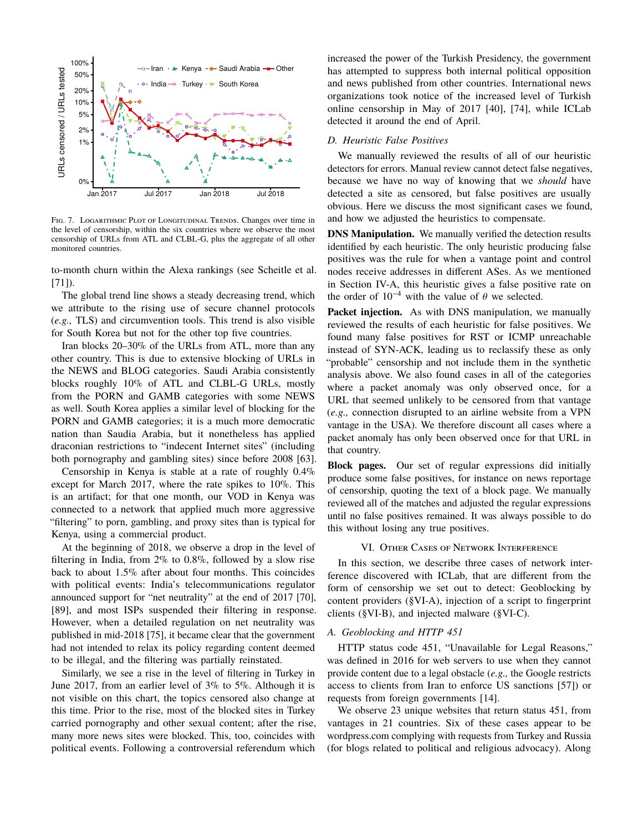

FIG. 7. LOGARITHMIC PLOT OF LONGITUDINAL TRENDS. Changes over time in the level of censorship, within the six countries where we observe the most censorship of URLs from ATL and CLBL-G, plus the aggregate of all other monitored countries.

to-month churn within the Alexa rankings (see Scheitle et al. [71]).

The global trend line shows a steady decreasing trend, which we attribute to the rising use of secure channel protocols (*e.g.,* TLS) and circumvention tools. This trend is also visible for South Korea but not for the other top five countries.

Iran blocks 20–30% of the URLs from ATL, more than any other country. This is due to extensive blocking of URLs in the NEWS and BLOG categories. Saudi Arabia consistently blocks roughly 10% of ATL and CLBL-G URLs, mostly from the PORN and GAMB categories with some NEWS as well. South Korea applies a similar level of blocking for the PORN and GAMB categories; it is a much more democratic nation than Saudia Arabia, but it nonetheless has applied draconian restrictions to "indecent Internet sites" (including both pornography and gambling sites) since before 2008 [63].

Censorship in Kenya is stable at a rate of roughly 0.4% except for March 2017, where the rate spikes to 10%. This is an artifact; for that one month, our VOD in Kenya was connected to a network that applied much more aggressive "filtering" to porn, gambling, and proxy sites than is typical for Kenya, using a commercial product.

At the beginning of 2018, we observe a drop in the level of filtering in India, from  $2\%$  to 0.8%, followed by a slow rise back to about 1.5% after about four months. This coincides with political events: India's telecommunications regulator announced support for "net neutrality" at the end of 2017 [70], [89], and most ISPs suspended their filtering in response. However, when a detailed regulation on net neutrality was published in mid-2018 [75], it became clear that the government had not intended to relax its policy regarding content deemed to be illegal, and the filtering was partially reinstated.

Similarly, we see a rise in the level of filtering in Turkey in June 2017, from an earlier level of 3% to 5%. Although it is not visible on this chart, the topics censored also change at this time. Prior to the rise, most of the blocked sites in Turkey carried pornography and other sexual content; after the rise, many more news sites were blocked. This, too, coincides with political events. Following a controversial referendum which

increased the power of the Turkish Presidency, the government has attempted to suppress both internal political opposition and news published from other countries. International news organizations took notice of the increased level of Turkish online censorship in May of 2017 [40], [74], while ICLab detected it around the end of April.

# *D. Heuristic False Positives*

We manually reviewed the results of all of our heuristic detectors for errors. Manual review cannot detect false negatives, because we have no way of knowing that we *should* have detected a site as censored, but false positives are usually obvious. Here we discuss the most significant cases we found, and how we adjusted the heuristics to compensate.

**DNS Manipulation.** We manually verified the detection results identified by each heuristic. The only heuristic producing false positives was the rule for when a vantage point and control nodes receive addresses in different ASes. As we mentioned in Section IV-A, this heuristic gives a false positive rate on the order of  $10^{-4}$  with the value of  $\theta$  we selected.

**Packet injection.** As with DNS manipulation, we manually reviewed the results of each heuristic for false positives. We found many false positives for RST or ICMP unreachable instead of SYN-ACK, leading us to reclassify these as only "probable" censorship and not include them in the synthetic analysis above. We also found cases in all of the categories where a packet anomaly was only observed once, for a URL that seemed unlikely to be censored from that vantage (*e.g.,* connection disrupted to an airline website from a VPN vantage in the USA). We therefore discount all cases where a packet anomaly has only been observed once for that URL in that country.

**Block pages.** Our set of regular expressions did initially produce some false positives, for instance on news reportage of censorship, quoting the text of a block page. We manually reviewed all of the matches and adjusted the regular expressions until no false positives remained. It was always possible to do this without losing any true positives.

#### VI. Other Cases of Network Interference

In this section, we describe three cases of network interference discovered with ICLab, that are different from the form of censorship we set out to detect: Geoblocking by content providers (§VI-A), injection of a script to fingerprint clients (§VI-B), and injected malware (§VI-C).

#### *A. Geoblocking and HTTP 451*

HTTP status code 451, "Unavailable for Legal Reasons," was defined in 2016 for web servers to use when they cannot provide content due to a legal obstacle (*e.g.,* the Google restricts access to clients from Iran to enforce US sanctions [57]) or requests from foreign governments [14].

We observe 23 unique websites that return status 451, from vantages in 21 countries. Six of these cases appear to be wordpress.com complying with requests from Turkey and Russia (for blogs related to political and religious advocacy). Along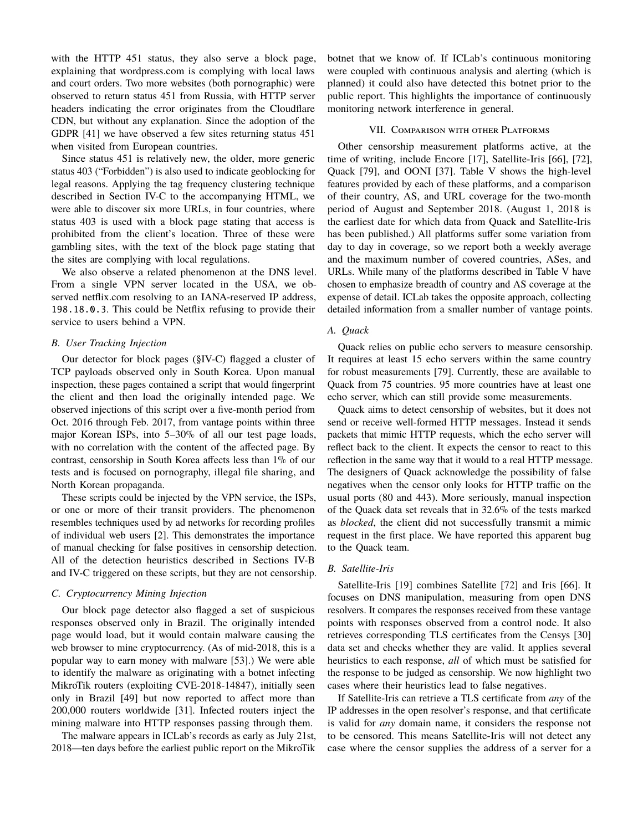with the HTTP 451 status, they also serve a block page, explaining that wordpress.com is complying with local laws and court orders. Two more websites (both pornographic) were observed to return status 451 from Russia, with HTTP server headers indicating the error originates from the Cloudflare CDN, but without any explanation. Since the adoption of the GDPR [41] we have observed a few sites returning status 451 when visited from European countries.

Since status 451 is relatively new, the older, more generic status 403 ("Forbidden") is also used to indicate geoblocking for legal reasons. Applying the tag frequency clustering technique described in Section IV-C to the accompanying HTML, we were able to discover six more URLs, in four countries, where status 403 is used with a block page stating that access is prohibited from the client's location. Three of these were gambling sites, with the text of the block page stating that the sites are complying with local regulations.

We also observe a related phenomenon at the DNS level. From a single VPN server located in the USA, we observed netflix.com resolving to an IANA-reserved IP address, 198.18.0.3. This could be Netflix refusing to provide their service to users behind a VPN.

#### *B. User Tracking Injection*

Our detector for block pages (§IV-C) flagged a cluster of TCP payloads observed only in South Korea. Upon manual inspection, these pages contained a script that would fingerprint the client and then load the originally intended page. We observed injections of this script over a five-month period from Oct. 2016 through Feb. 2017, from vantage points within three major Korean ISPs, into 5–30% of all our test page loads, with no correlation with the content of the affected page. By contrast, censorship in South Korea affects less than 1% of our tests and is focused on pornography, illegal file sharing, and North Korean propaganda.

These scripts could be injected by the VPN service, the ISPs, or one or more of their transit providers. The phenomenon resembles techniques used by ad networks for recording profiles of individual web users [2]. This demonstrates the importance of manual checking for false positives in censorship detection. All of the detection heuristics described in Sections IV-B and IV-C triggered on these scripts, but they are not censorship.

# *C. Cryptocurrency Mining Injection*

Our block page detector also flagged a set of suspicious responses observed only in Brazil. The originally intended page would load, but it would contain malware causing the web browser to mine cryptocurrency. (As of mid-2018, this is a popular way to earn money with malware [53].) We were able to identify the malware as originating with a botnet infecting MikroTik routers (exploiting CVE-2018-14847), initially seen only in Brazil [49] but now reported to affect more than 200,000 routers worldwide [31]. Infected routers inject the mining malware into HTTP responses passing through them.

The malware appears in ICLab's records as early as July 21st, 2018—ten days before the earliest public report on the MikroTik

botnet that we know of. If ICLab's continuous monitoring were coupled with continuous analysis and alerting (which is planned) it could also have detected this botnet prior to the public report. This highlights the importance of continuously monitoring network interference in general.

#### VII. Comparison with other Platforms

Other censorship measurement platforms active, at the time of writing, include Encore [17], Satellite-Iris [66], [72], Quack [79], and OONI [37]. Table V shows the high-level features provided by each of these platforms, and a comparison of their country, AS, and URL coverage for the two-month period of August and September 2018. (August 1, 2018 is the earliest date for which data from Quack and Satellite-Iris has been published.) All platforms suffer some variation from day to day in coverage, so we report both a weekly average and the maximum number of covered countries, ASes, and URLs. While many of the platforms described in Table V have chosen to emphasize breadth of country and AS coverage at the expense of detail. ICLab takes the opposite approach, collecting detailed information from a smaller number of vantage points.

## *A. Quack*

Quack relies on public echo servers to measure censorship. It requires at least 15 echo servers within the same country for robust measurements [79]. Currently, these are available to Quack from 75 countries. 95 more countries have at least one echo server, which can still provide some measurements.

Quack aims to detect censorship of websites, but it does not send or receive well-formed HTTP messages. Instead it sends packets that mimic HTTP requests, which the echo server will reflect back to the client. It expects the censor to react to this reflection in the same way that it would to a real HTTP message. The designers of Quack acknowledge the possibility of false negatives when the censor only looks for HTTP traffic on the usual ports (80 and 443). More seriously, manual inspection of the Quack data set reveals that in 32.6% of the tests marked as *blocked*, the client did not successfully transmit a mimic request in the first place. We have reported this apparent bug to the Quack team.

#### *B. Satellite-Iris*

Satellite-Iris [19] combines Satellite [72] and Iris [66]. It focuses on DNS manipulation, measuring from open DNS resolvers. It compares the responses received from these vantage points with responses observed from a control node. It also retrieves corresponding TLS certificates from the Censys [30] data set and checks whether they are valid. It applies several heuristics to each response, *all* of which must be satisfied for the response to be judged as censorship. We now highlight two cases where their heuristics lead to false negatives.

If Satellite-Iris can retrieve a TLS certificate from *any* of the IP addresses in the open resolver's response, and that certificate is valid for *any* domain name, it considers the response not to be censored. This means Satellite-Iris will not detect any case where the censor supplies the address of a server for a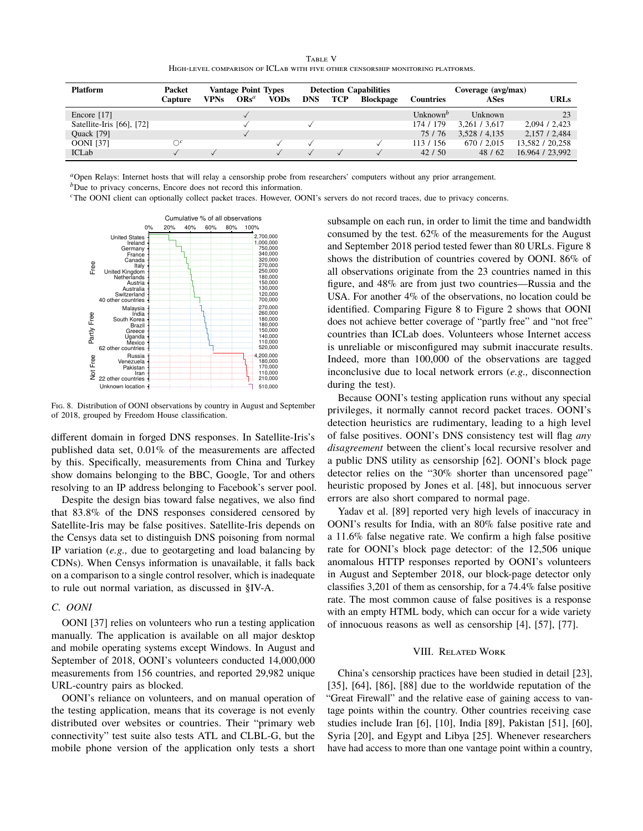TABLE V High-level comparison of ICLab with five other censorship monitoring platforms.

| <b>Platform</b>           | Packet       | <b>Vantage Point Types</b> |                  |             | <b>Detection Capabilities</b> |            |                  | Coverage (avg/max) |               |                 |
|---------------------------|--------------|----------------------------|------------------|-------------|-------------------------------|------------|------------------|--------------------|---------------|-----------------|
|                           | Capture      | VPNs .                     | $\mathbf{ORS}^a$ | <b>VODs</b> | <b>DNS</b>                    | <b>TCP</b> | <b>Blockpage</b> | Countries          | <b>ASes</b>   | <b>URLs</b>     |
| Encore $[17]$             |              |                            |                  |             |                               |            |                  | Unknown $^b$       | Unknown       |                 |
| Satellite-Iris [66], [72] |              |                            |                  |             |                               |            |                  | 174 / 179          | 3.261 / 3.617 | 2.094 / 2.423   |
| Quack [79]                |              |                            |                  |             |                               |            |                  | 75 / 76            | 3,528/4,135   | 2,157/2,484     |
| <b>OONI</b> [37]          | $\bigcirc^c$ |                            |                  |             |                               |            |                  | 113 / 156          | 670 / 2.015   | 13.582 / 20.258 |
| ICLab                     |              |                            |                  |             |                               |            |                  | 42/50              | 48 / 62       | 16.964 / 23,992 |

*<sup>a</sup>*Open Relays: Internet hosts that will relay a censorship probe from researchers' computers without any prior arrangement.

*b*Due to privacy concerns, Encore does not record this information.

*<sup>c</sup>*The OONI client can optionally collect packet traces. However, OONI's servers do not record traces, due to privacy concerns.



Fig. 8. Distribution of OONI observations by country in August and September of 2018, grouped by Freedom House classification.

different domain in forged DNS responses. In Satellite-Iris's published data set, 0.01% of the measurements are affected by this. Specifically, measurements from China and Turkey show domains belonging to the BBC, Google, Tor and others resolving to an IP address belonging to Facebook's server pool.

Despite the design bias toward false negatives, we also find that 83.8% of the DNS responses considered censored by Satellite-Iris may be false positives. Satellite-Iris depends on the Censys data set to distinguish DNS poisoning from normal IP variation (*e.g.,* due to geotargeting and load balancing by CDNs). When Censys information is unavailable, it falls back on a comparison to a single control resolver, which is inadequate to rule out normal variation, as discussed in §IV-A.

# *C. OONI*

OONI [37] relies on volunteers who run a testing application manually. The application is available on all major desktop and mobile operating systems except Windows. In August and September of 2018, OONI's volunteers conducted 14,000,000 measurements from 156 countries, and reported 29,982 unique URL-country pairs as blocked.

OONI's reliance on volunteers, and on manual operation of the testing application, means that its coverage is not evenly distributed over websites or countries. Their "primary web connectivity" test suite also tests ATL and CLBL-G, but the mobile phone version of the application only tests a short

subsample on each run, in order to limit the time and bandwidth consumed by the test. 62% of the measurements for the August and September 2018 period tested fewer than 80 URLs. Figure 8 shows the distribution of countries covered by OONI. 86% of all observations originate from the 23 countries named in this figure, and 48% are from just two countries—Russia and the USA. For another 4% of the observations, no location could be identified. Comparing Figure 8 to Figure 2 shows that OONI does not achieve better coverage of "partly free" and "not free" countries than ICLab does. Volunteers whose Internet access is unreliable or misconfigured may submit inaccurate results. Indeed, more than 100,000 of the observations are tagged inconclusive due to local network errors (*e.g.,* disconnection during the test).

Because OONI's testing application runs without any special privileges, it normally cannot record packet traces. OONI's detection heuristics are rudimentary, leading to a high level of false positives. OONI's DNS consistency test will flag *any disagreement* between the client's local recursive resolver and a public DNS utility as censorship [62]. OONI's block page detector relies on the "30% shorter than uncensored page" heuristic proposed by Jones et al. [48], but innocuous server errors are also short compared to normal page.

Yadav et al. [89] reported very high levels of inaccuracy in OONI's results for India, with an 80% false positive rate and a 11.6% false negative rate. We confirm a high false positive rate for OONI's block page detector: of the 12,506 unique anomalous HTTP responses reported by OONI's volunteers in August and September 2018, our block-page detector only classifies 3,201 of them as censorship, for a 74.4% false positive rate. The most common cause of false positives is a response with an empty HTML body, which can occur for a wide variety of innocuous reasons as well as censorship [4], [57], [77].

#### VIII. Related Work

China's censorship practices have been studied in detail [23], [35], [64], [86], [88] due to the worldwide reputation of the "Great Firewall" and the relative ease of gaining access to vantage points within the country. Other countries receiving case studies include Iran [6], [10], India [89], Pakistan [51], [60], Syria [20], and Egypt and Libya [25]. Whenever researchers have had access to more than one vantage point within a country,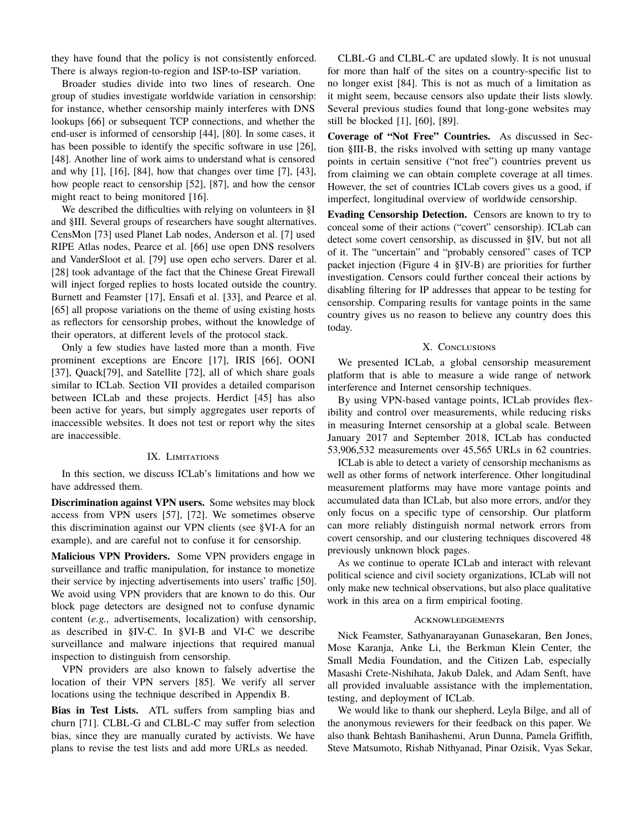they have found that the policy is not consistently enforced. There is always region-to-region and ISP-to-ISP variation.

Broader studies divide into two lines of research. One group of studies investigate worldwide variation in censorship: for instance, whether censorship mainly interferes with DNS lookups [66] or subsequent TCP connections, and whether the end-user is informed of censorship [44], [80]. In some cases, it has been possible to identify the specific software in use [26], [48]. Another line of work aims to understand what is censored and why [1], [16], [84], how that changes over time [7], [43], how people react to censorship [52], [87], and how the censor might react to being monitored [16].

We described the difficulties with relying on volunteers in §I and §III. Several groups of researchers have sought alternatives. CensMon [73] used Planet Lab nodes, Anderson et al. [7] used RIPE Atlas nodes, Pearce et al. [66] use open DNS resolvers and VanderSloot et al. [79] use open echo servers. Darer et al. [28] took advantage of the fact that the Chinese Great Firewall will inject forged replies to hosts located outside the country. Burnett and Feamster [17], Ensafi et al. [33], and Pearce et al. [65] all propose variations on the theme of using existing hosts as reflectors for censorship probes, without the knowledge of their operators, at different levels of the protocol stack.

Only a few studies have lasted more than a month. Five prominent exceptions are Encore [17], IRIS [66], OONI [37], Quack[79], and Satellite [72], all of which share goals similar to ICLab. Section VII provides a detailed comparison between ICLab and these projects. Herdict [45] has also been active for years, but simply aggregates user reports of inaccessible websites. It does not test or report why the sites are inaccessible.

# IX. LIMITATIONS

In this section, we discuss ICLab's limitations and how we have addressed them.

**Discrimination against VPN users.** Some websites may block access from VPN users [57], [72]. We sometimes observe this discrimination against our VPN clients (see §VI-A for an example), and are careful not to confuse it for censorship.

**Malicious VPN Providers.** Some VPN providers engage in surveillance and traffic manipulation, for instance to monetize their service by injecting advertisements into users' traffic [50]. We avoid using VPN providers that are known to do this. Our block page detectors are designed not to confuse dynamic content (*e.g.,* advertisements, localization) with censorship, as described in §IV-C. In §VI-B and VI-C we describe surveillance and malware injections that required manual inspection to distinguish from censorship.

VPN providers are also known to falsely advertise the location of their VPN servers [85]. We verify all server locations using the technique described in Appendix B.

**Bias in Test Lists.** ATL suffers from sampling bias and churn [71]. CLBL-G and CLBL-C may suffer from selection bias, since they are manually curated by activists. We have plans to revise the test lists and add more URLs as needed.

CLBL-G and CLBL-C are updated slowly. It is not unusual for more than half of the sites on a country-specific list to no longer exist [84]. This is not as much of a limitation as it might seem, because censors also update their lists slowly. Several previous studies found that long-gone websites may still be blocked [1], [60], [89].

**Coverage of "Not Free" Countries.** As discussed in Section §III-B, the risks involved with setting up many vantage points in certain sensitive ("not free") countries prevent us from claiming we can obtain complete coverage at all times. However, the set of countries ICLab covers gives us a good, if imperfect, longitudinal overview of worldwide censorship.

**Evading Censorship Detection.** Censors are known to try to conceal some of their actions ("covert" censorship). ICLab can detect some covert censorship, as discussed in §IV, but not all of it. The "uncertain" and "probably censored" cases of TCP packet injection (Figure 4 in §IV-B) are priorities for further investigation. Censors could further conceal their actions by disabling filtering for IP addresses that appear to be testing for censorship. Comparing results for vantage points in the same country gives us no reason to believe any country does this today.

# X. Conclusions

We presented ICLab, a global censorship measurement platform that is able to measure a wide range of network interference and Internet censorship techniques.

By using VPN-based vantage points, ICLab provides flexibility and control over measurements, while reducing risks in measuring Internet censorship at a global scale. Between January 2017 and September 2018, ICLab has conducted 53,906,532 measurements over 45,565 URLs in 62 countries.

ICLab is able to detect a variety of censorship mechanisms as well as other forms of network interference. Other longitudinal measurement platforms may have more vantage points and accumulated data than ICLab, but also more errors, and/or they only focus on a specific type of censorship. Our platform can more reliably distinguish normal network errors from covert censorship, and our clustering techniques discovered 48 previously unknown block pages.

As we continue to operate ICLab and interact with relevant political science and civil society organizations, ICLab will not only make new technical observations, but also place qualitative work in this area on a firm empirical footing.

#### **ACKNOWLEDGEMENTS**

Nick Feamster, Sathyanarayanan Gunasekaran, Ben Jones, Mose Karanja, Anke Li, the Berkman Klein Center, the Small Media Foundation, and the Citizen Lab, especially Masashi Crete-Nishihata, Jakub Dalek, and Adam Senft, have all provided invaluable assistance with the implementation, testing, and deployment of ICLab.

We would like to thank our shepherd, Leyla Bilge, and all of the anonymous reviewers for their feedback on this paper. We also thank Behtash Banihashemi, Arun Dunna, Pamela Griffith, Steve Matsumoto, Rishab Nithyanad, Pinar Ozisik, Vyas Sekar,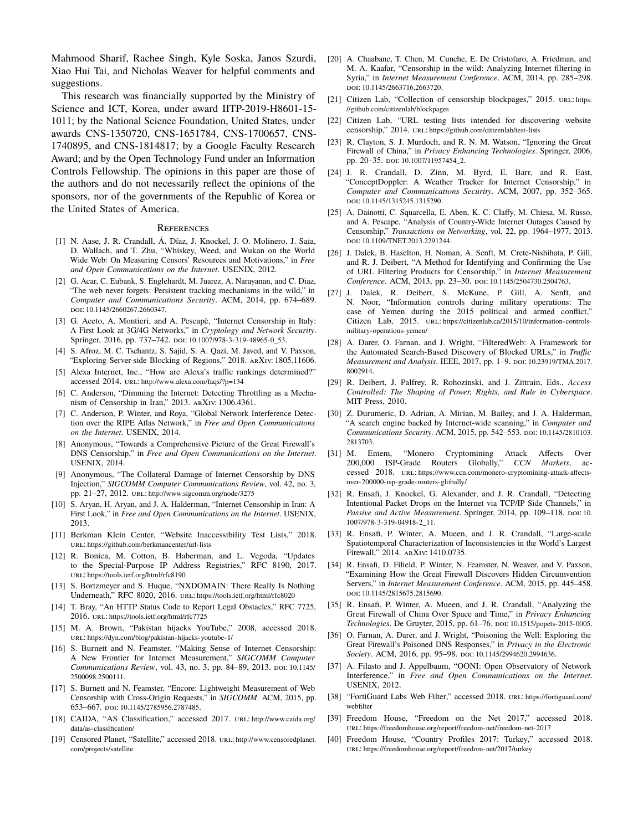Mahmood Sharif, Rachee Singh, Kyle Soska, Janos Szurdi, Xiao Hui Tai, and Nicholas Weaver for helpful comments and suggestions.

This research was financially supported by the Ministry of Science and ICT, Korea, under award IITP-2019-H8601-15- 1011; by the National Science Foundation, United States, under awards CNS-1350720, CNS-1651784, CNS-1700657, CNS-1740895, and CNS-1814817; by a Google Faculty Research Award; and by the Open Technology Fund under an Information Controls Fellowship. The opinions in this paper are those of the authors and do not necessarily reflect the opinions of the sponsors, nor of the governments of the Republic of Korea or the United States of America.

#### **REFERENCES**

- [1] N. Aase, J. R. Crandall, Á. Díaz, J. Knockel, J. O. Molinero, J. Saia, D. Wallach, and T. Zhu, "Whiskey, Weed, and Wukan on the World Wide Web: On Measuring Censors' Resources and Motivations," in *Free and Open Communications on the Internet*. USENIX, 2012.
- [2] G. Acar, C. Eubank, S. Englehardt, M. Juarez, A. Narayanan, and C. Diaz, "The web never forgets: Persistent tracking mechanisms in the wild," in *Computer and Communications Security*. ACM, 2014, pp. 674–689. doi: 10.1145/2660267.2660347.
- [3] G. Aceto, A. Montieri, and A. Pescapè, "Internet Censorship in Italy: A First Look at 3G/4G Networks," in *Cryptology and Network Security*. Springer, 2016, pp. 737-742. DOI: 10.1007/978-3-319-48965-0\_53.
- [4] S. Afroz, M. C. Tschantz, S. Sajid, S. A. Qazi, M. Javed, and V. Paxson, "Exploring Server-side Blocking of Regions," 2018. arXiv: 1805.11606.
- [5] Alexa Internet, Inc., "How are Alexa's traffic rankings determined?" accessed 2014. url: http://www.alexa.com/faqs/?p=134
- [6] C. Anderson, "Dimming the Internet: Detecting Throttling as a Mechanism of Censorship in Iran," 2013. arXiv: 1306.4361.
- [7] C. Anderson, P. Winter, and Roya, "Global Network Interference Detection over the RIPE Atlas Network," in *Free and Open Communications on the Internet*. USENIX, 2014.
- [8] Anonymous, "Towards a Comprehensive Picture of the Great Firewall's DNS Censorship," in *Free and Open Communications on the Internet*. USENIX, 2014.
- [9] Anonymous, "The Collateral Damage of Internet Censorship by DNS Injection," *SIGCOMM Computer Communications Review*, vol. 42, no. 3, pp. 21-27, 2012. url: http://www.sigcomm.org/node/3275
- [10] S. Aryan, H. Aryan, and J. A. Halderman, "Internet Censorship in Iran: A First Look," in *Free and Open Communications on the Internet*. USENIX, 2013.
- [11] Berkman Klein Center, "Website Inaccessibility Test Lists," 2018. url: https://github.com/berkmancenter/url-lists
- [12] R. Bonica, M. Cotton, B. Haberman, and L. Vegoda, "Updates to the Special-Purpose IP Address Registries," RFC 8190, 2017. url: https://tools.ietf.org/html/rfc8190
- S. Bortzmeyer and S. Huque, "NXDOMAIN: There Really Is Nothing Underneath," RFC 8020, 2016. url: https://tools.ietf.org/html/rfc8020
- [14] T. Bray, "An HTTP Status Code to Report Legal Obstacles," RFC 7725, 2016. url: https://tools.ietf.org/html/rfc7725
- [15] M. A. Brown, "Pakistan hijacks YouTube," 2008, accessed 2018. url: https://dyn.com/blog/pakistan-hijacks-youtube-1/
- [16] S. Burnett and N. Feamster, "Making Sense of Internet Censorship: A New Frontier for Internet Measurement," *SIGCOMM Computer Communications Review, vol. 43, no. 3, pp. 84-89, 2013. por: 10.1145/* 2500098.2500111.
- [17] S. Burnett and N. Feamster, "Encore: Lightweight Measurement of Web Censorship with Cross-Origin Requests," in *SIGCOMM*. ACM, 2015, pp. 653–667. doi: 10.1145/2785956.2787485.
- CAIDA, "AS Classification," accessed 2017. URL: http://www.caida.org/ data/as-classification/
- [19] Censored Planet, "Satellite," accessed 2018. URL: http://www.censoredplanet. com/projects/satellite
- [20] A. Chaabane, T. Chen, M. Cunche, E. De Cristofaro, A. Friedman, and M. A. Kaafar, "Censorship in the wild: Analyzing Internet filtering in Syria," in *Internet Measurement Conference*. ACM, 2014, pp. 285–298. doi: 10.1145/2663716.2663720.
- [21] Citizen Lab, "Collection of censorship blockpages," 2015. url: https: //github.com/citizenlab/blockpages
- [22] Citizen Lab, "URL testing lists intended for discovering website censorship," 2014. URL: https://github.com/citizenlab/test-lists
- [23] R. Clayton, S. J. Murdoch, and R. N. M. Watson, "Ignoring the Great Firewall of China," in *Privacy Enhancing Technologies*. Springer, 2006, pp. 20-35. doi: 10.1007/11957454\_2.
- [24] J. R. Crandall, D. Zinn, M. Byrd, E. Barr, and R. East, "ConceptDoppler: A Weather Tracker for Internet Censorship," in *Computer and Communications Security*. ACM, 2007, pp. 352–365. doi: 10.1145/1315245.1315290.
- [25] A. Dainotti, C. Squarcella, E. Aben, K. C. Claffy, M. Chiesa, M. Russo, and A. Pescape, "Analysis of Country-Wide Internet Outages Caused by Censorship," *Transactions on Networking*, vol. 22, pp. 1964–1977, 2013. doi: 10.1109/TNET.2013.2291244.
- [26] J. Dalek, B. Haselton, H. Noman, A. Senft, M. Crete-Nishihata, P. Gill, and R. J. Deibert, "A Method for Identifying and Confirming the Use of URL Filtering Products for Censorship," in *Internet Measurement* Conference. ACM, 2013, pp. 23-30. poi: 10.1145/2504730.2504763.
- [27] J. Dalek, R. Deibert, S. McKune, P. Gill, A. Senft, and N. Noor, "Information controls during military operations: The case of Yemen during the 2015 political and armed conflict," Citizen Lab, 2015. url: https://citizenlab.ca/2015/10/information-controlsmilitary-operations-yemen/
- [28] A. Darer, O. Farnan, and J. Wright, "FilteredWeb: A Framework for the Automated Search-Based Discovery of Blocked URLs," in *Traffic Measurement and Analysis*. IEEE, 2017, pp. 1–9. doi: 10.23919/TMA.2017. 8002914.
- [29] R. Deibert, J. Palfrey, R. Rohozinski, and J. Zittrain, Eds., *Access Controlled: The Shaping of Power, Rights, and Rule in Cyberspace*. MIT Press, 2010.
- [30] Z. Durumeric, D. Adrian, A. Mirian, M. Bailey, and J. A. Halderman, "A search engine backed by Internet-wide scanning," in *Computer and Communications Security*. ACM, 2015, pp. 542–553. doi: 10.1145/2810103. 2813703.
- [31] M. Emem, "Monero Cryptomining Attack Affects Over 200,000 ISP-Grade Routers Globally," *CCN Markets*, accessed 2018. url: https://www.ccn.com/monero-cryptomining-attack-affectsover-200000-isp-grade-routers-globally/
- [32] R. Ensafi, J. Knockel, G. Alexander, and J. R. Crandall, "Detecting Intentional Packet Drops on the Internet via TCP/IP Side Channels," in Passive and Active Measurement. Springer, 2014, pp. 109-118. poi: 10. 1007/978-3-319-04918-2\_11.
- [33] R. Ensafi, P. Winter, A. Mueen, and J. R. Crandall, "Large-scale Spatiotemporal Characterization of Inconsistencies in the World's Largest Firewall," 2014. arXiv: 1410.0735.
- [34] R. Ensafi, D. Fifield, P. Winter, N. Feamster, N. Weaver, and V. Paxson, "Examining How the Great Firewall Discovers Hidden Circumvention Servers," in *Internet Measurement Conference*. ACM, 2015, pp. 445–458. doi: 10.1145/2815675.2815690.
- [35] R. Ensafi, P. Winter, A. Mueen, and J. R. Crandall, "Analyzing the Great Firewall of China Over Space and Time," in *Privacy Enhancing Technologies*. De Gruyter, 2015, pp. 61–76. doi: 10.1515/popets-2015-0005.
- [36] O. Farnan, A. Darer, and J. Wright, "Poisoning the Well: Exploring the Great Firewall's Poisoned DNS Responses," in *Privacy in the Electronic Society*. ACM, 2016, pp. 95–98. doi: 10.1145/2994620.2994636.
- [37] A. Filasto and J. Appelbaum, "OONI: Open Observatory of Network Interference," in *Free and Open Communications on the Internet*. USENIX, 2012.
- [38] "FortiGuard Labs Web Filter," accessed 2018. url: https://fortiguard.com/ webfilter
- [39] Freedom House, "Freedom on the Net 2017," accessed 2018. url: https://freedomhouse.org/report/freedom-net/freedom-net-2017
- [40] Freedom House, "Country Profiles 2017: Turkey," accessed 2018. url: https://freedomhouse.org/report/freedom-net/2017/turkey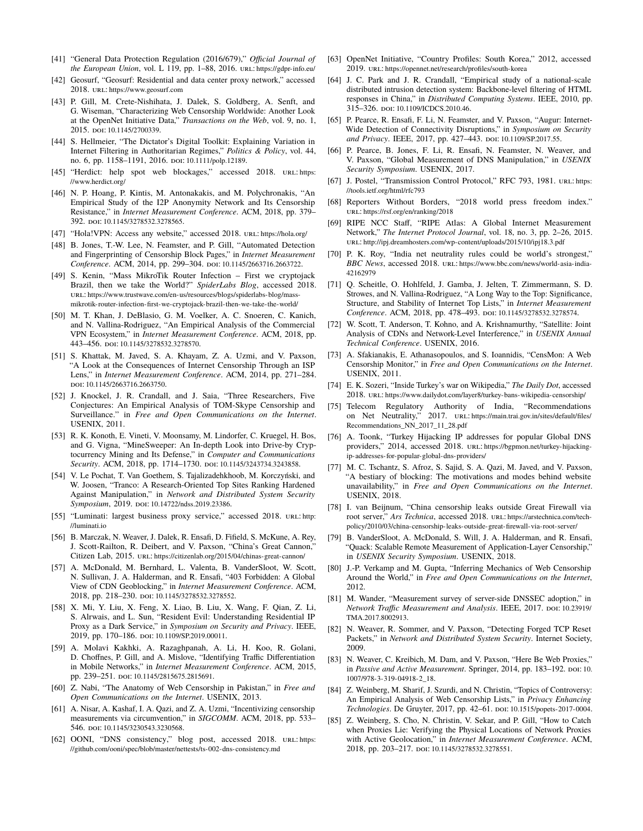- [41] "General Data Protection Regulation (2016/679)," *Official Journal of* the European Union, vol. L 119, pp. 1-88, 2016. URL: https://gdpr-info.eu/
- [42] Geosurf, "Geosurf: Residential and data center proxy network," accessed 2018. url: https://www.geosurf.com
- [43] P. Gill, M. Crete-Nishihata, J. Dalek, S. Goldberg, A. Senft, and G. Wiseman, "Characterizing Web Censorship Worldwide: Another Look at the OpenNet Initiative Data," *Transactions on the Web*, vol. 9, no. 1, 2015. doi: 10.1145/2700339.
- [44] S. Hellmeier, "The Dictator's Digital Toolkit: Explaining Variation in Internet Filtering in Authoritarian Regimes," *Politics & Policy*, vol. 44, no. 6, pp. 1158-1191, 2016. doi: 10.1111/polp.12189.
- [45] "Herdict: help spot web blockages," accessed 2018. URL: https: //www.herdict.org/
- [46] N. P. Hoang, P. Kintis, M. Antonakakis, and M. Polychronakis, "An Empirical Study of the I2P Anonymity Network and Its Censorship Resistance," in *Internet Measurement Conference*. ACM, 2018, pp. 379– 392. doi: 10.1145/3278532.3278565.
- [47] "Hola!VPN: Access any website," accessed 2018. url: https://hola.org/
- [48] B. Jones, T.-W. Lee, N. Feamster, and P. Gill, "Automated Detection and Fingerprinting of Censorship Block Pages," in *Internet Measurement Conference*. ACM, 2014, pp. 299–304. doi: 10.1145/2663716.2663722.
- [49] S. Kenin, "Mass MikroTik Router Infection First we cryptojack Brazil, then we take the World?" *SpiderLabs Blog*, accessed 2018. url: https://www.trustwave.com/en-us/resources/blogs/spiderlabs-blog/massmikrotik-router-infection-first-we-cryptojack-brazil-then-we-take-the-world/
- [50] M. T. Khan, J. DeBlasio, G. M. Voelker, A. C. Snoeren, C. Kanich, and N. Vallina-Rodriguez, "An Empirical Analysis of the Commercial VPN Ecosystem," in *Internet Measurement Conference*. ACM, 2018, pp. 443–456. doi: 10.1145/3278532.3278570.
- [51] S. Khattak, M. Javed, S. A. Khayam, Z. A. Uzmi, and V. Paxson, "A Look at the Consequences of Internet Censorship Through an ISP Lens," in *Internet Measurement Conference*. ACM, 2014, pp. 271–284. doi: 10.1145/2663716.2663750.
- [52] J. Knockel, J. R. Crandall, and J. Saia, "Three Researchers, Five Conjectures: An Empirical Analysis of TOM-Skype Censorship and Surveillance." in *Free and Open Communications on the Internet*. USENIX, 2011.
- [53] R. K. Konoth, E. Vineti, V. Moonsamy, M. Lindorfer, C. Kruegel, H. Bos, and G. Vigna, "MineSweeper: An In-depth Look into Drive-by Cryptocurrency Mining and Its Defense," in *Computer and Communications Security*. ACM, 2018, pp. 1714–1730. doi: 10.1145/3243734.3243858.
- [54] V. Le Pochat, T. Van Goethem, S. Tajalizadehkhoob, M. Korczyński, and W. Joosen, "Tranco: A Research-Oriented Top Sites Ranking Hardened Against Manipulation," in *Network and Distributed System Security* Symposium, 2019. poi: 10.14722/ndss.2019.23386.
- [55] "Luminati: largest business proxy service," accessed 2018. url: http: //luminati.io
- [56] B. Marczak, N. Weaver, J. Dalek, R. Ensafi, D. Fifield, S. McKune, A. Rey, J. Scott-Railton, R. Deibert, and V. Paxson, "China's Great Cannon," Citizen Lab, 2015. url: https://citizenlab.org/2015/04/chinas-great-cannon/
- [57] A. McDonald, M. Bernhard, L. Valenta, B. VanderSloot, W. Scott, N. Sullivan, J. A. Halderman, and R. Ensafi, "403 Forbidden: A Global View of CDN Geoblocking," in *Internet Measurement Conference*. ACM, 2018, pp. 218–230. doi: 10.1145/3278532.3278552.
- [58] X. Mi, Y. Liu, X. Feng, X. Liao, B. Liu, X. Wang, F. Qian, Z. Li, S. Alrwais, and L. Sun, "Resident Evil: Understanding Residential IP Proxy as a Dark Service," in *Symposium on Security and Privacy*. IEEE, 2019, pp. 170-186. poi: 10.1109/SP.2019.00011.
- [59] A. Molavi Kakhki, A. Razaghpanah, A. Li, H. Koo, R. Golani, D. Choffnes, P. Gill, and A. Mislove, "Identifying Traffic Differentiation in Mobile Networks," in *Internet Measurement Conference*. ACM, 2015, pp. 239-251. poi: 10.1145/2815675.2815691.
- [60] Z. Nabi, "The Anatomy of Web Censorship in Pakistan," in *Free and Open Communications on the Internet*. USENIX, 2013.
- [61] A. Nisar, A. Kashaf, I. A. Qazi, and Z. A. Uzmi, "Incentivizing censorship measurements via circumvention," in *SIGCOMM*. ACM, 2018, pp. 533– 546. doi: 10.1145/3230543.3230568.
- [62] OONI, "DNS consistency," blog post, accessed 2018. url: https: //github.com/ooni/spec/blob/master/nettests/ts-002-dns-consistency.md
- [63] OpenNet Initiative, "Country Profiles: South Korea," 2012, accessed 2019. url: https://opennet.net/research/profiles/south-korea
- [64] J. C. Park and J. R. Crandall, "Empirical study of a national-scale distributed intrusion detection system: Backbone-level filtering of HTML responses in China," in *Distributed Computing Systems*. IEEE, 2010, pp. 315–326. doi: 10.1109/ICDCS.2010.46.
- [65] P. Pearce, R. Ensafi, F. Li, N. Feamster, and V. Paxson, "Augur: Internet-Wide Detection of Connectivity Disruptions," in *Symposium on Security and Privacy*. IEEE, 2017, pp. 427–443. doi: 10.1109/SP.2017.55.
- [66] P. Pearce, B. Jones, F. Li, R. Ensafi, N. Feamster, N. Weaver, and V. Paxson, "Global Measurement of DNS Manipulation," in *USENIX Security Symposium*. USENIX, 2017.
- [67] J. Postel, "Transmission Control Protocol," RFC 793, 1981. URL: https: //tools.ietf.org/html/rfc793
- [68] Reporters Without Borders, "2018 world press freedom index." url: https://rsf.org/en/ranking/2018
- [69] RIPE NCC Staff, "RIPE Atlas: A Global Internet Measurement Network," *The Internet Protocol Journal*, vol. 18, no. 3, pp. 2–26, 2015. url: http://ipj.dreamhosters.com/wp-content/uploads/2015/10/ipj18.3.pdf
- [70] P. K. Roy, "India net neutrality rules could be world's strongest," BBC News, accessed 2018. URL: https://www.bbc.com/news/world-asia-india-42162979
- [71] Q. Scheitle, O. Hohlfeld, J. Gamba, J. Jelten, T. Zimmermann, S. D. Strowes, and N. Vallina-Rodriguez, "A Long Way to the Top: Significance, Structure, and Stability of Internet Top Lists," in *Internet Measurement Conference*. ACM, 2018, pp. 478–493. doi: 10.1145/3278532.3278574.
- [72] W. Scott, T. Anderson, T. Kohno, and A. Krishnamurthy, "Satellite: Joint Analysis of CDNs and Network-Level Interference," in *USENIX Annual Technical Conference*. USENIX, 2016.
- [73] A. Sfakianakis, E. Athanasopoulos, and S. Ioannidis, "CensMon: A Web Censorship Monitor," in *Free and Open Communications on the Internet*. USENIX, 2011.
- [74] E. K. Sozeri, "Inside Turkey's war on Wikipedia," *The Daily Dot*, accessed 2018. url: https://www.dailydot.com/layer8/turkey-bans-wikipedia-censorship/
- [75] Telecom Regulatory Authority of India, "Recommendations on Net Neutrality," 2017. url: https://main.trai.gov.in/sites/default/files/ Recommendations\_NN\_2017\_11\_28.pdf
- [76] A. Toonk, "Turkey Hijacking IP addresses for popular Global DNS providers," 2014, accessed 2018. url: https://bgpmon.net/turkey-hijackingip-addresses-for-popular-global-dns-providers/
- [77] M. C. Tschantz, S. Afroz, S. Sajid, S. A. Qazi, M. Javed, and V. Paxson, "A bestiary of blocking: The motivations and modes behind website unavailability," in *Free and Open Communications on the Internet*. USENIX, 2018.
- [78] I. van Beijnum, "China censorship leaks outside Great Firewall via root server," Ars Technica, accessed 2018. url: https://arstechnica.com/techpolicy/2010/03/china-censorship-leaks-outside-great-firewall-via-root-server/
- [79] B. VanderSloot, A. McDonald, S. Will, J. A. Halderman, and R. Ensafi, "Quack: Scalable Remote Measurement of Application-Layer Censorship," in *USENIX Security Symposium*. USENIX, 2018.
- [80] J.-P. Verkamp and M. Gupta, "Inferring Mechanics of Web Censorship Around the World," in *Free and Open Communications on the Internet*, 2012.
- [81] M. Wander, "Measurement survey of server-side DNSSEC adoption," in *Network Traffic Measurement and Analysis*. IEEE, 2017. poi: 10.23919/ TMA.2017.8002913.
- [82] N. Weaver, R. Sommer, and V. Paxson, "Detecting Forged TCP Reset Packets," in *Network and Distributed System Security*. Internet Society, 2009.
- [83] N. Weaver, C. Kreibich, M. Dam, and V. Paxson, "Here Be Web Proxies," in Passive and Active Measurement. Springer, 2014, pp. 183-192. poi: 10. 1007/978-3-319-04918-2\_18.
- [84] Z. Weinberg, M. Sharif, J. Szurdi, and N. Christin, "Topics of Controversy: An Empirical Analysis of Web Censorship Lists," in *Privacy Enhancing Technologies*. De Gruyter, 2017, pp. 42–61. doi: 10.1515/popets-2017-0004.
- [85] Z. Weinberg, S. Cho, N. Christin, V. Sekar, and P. Gill, "How to Catch when Proxies Lie: Verifying the Physical Locations of Network Proxies with Active Geolocation," in *Internet Measurement Conference*. ACM, 2018, pp. 203-217. poi: 10.1145/3278532.3278551.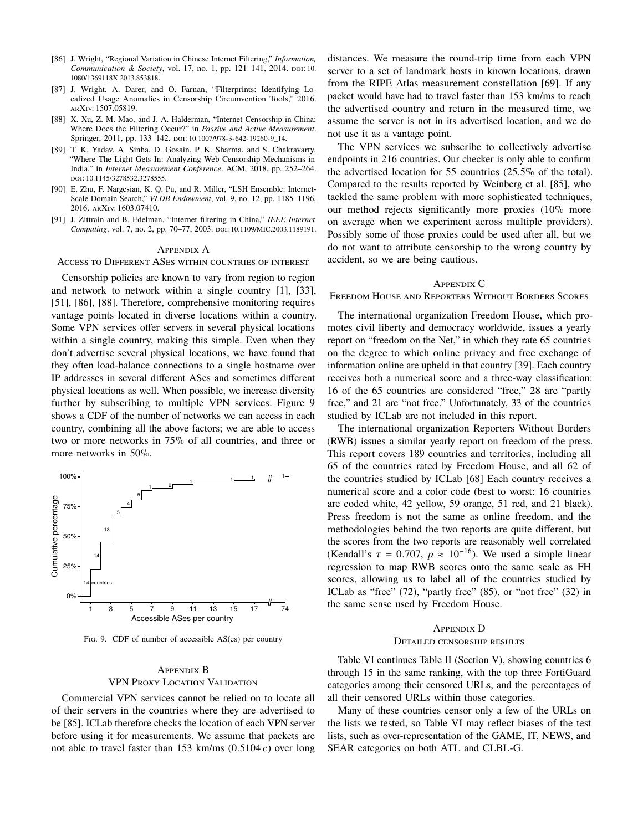- [86] J. Wright, "Regional Variation in Chinese Internet Filtering," *Information, Communication & Society, vol. 17, no. 1, pp. 121-141, 2014. por: 10.* 1080/1369118X.2013.853818.
- [87] J. Wright, A. Darer, and O. Farnan, "Filterprints: Identifying Localized Usage Anomalies in Censorship Circumvention Tools," 2016. arXiv: 1507.05819.
- [88] X. Xu, Z. M. Mao, and J. A. Halderman, "Internet Censorship in China: Where Does the Filtering Occur?" in *Passive and Active Measurement*. Springer, 2011, pp. 133-142. poi: 10.1007/978-3-642-19260-9\_14.
- [89] T. K. Yadav, A. Sinha, D. Gosain, P. K. Sharma, and S. Chakravarty, "Where The Light Gets In: Analyzing Web Censorship Mechanisms in India," in *Internet Measurement Conference*. ACM, 2018, pp. 252–264. doi: 10.1145/3278532.3278555.
- [90] E. Zhu, F. Nargesian, K. Q. Pu, and R. Miller, "LSH Ensemble: Internet-Scale Domain Search," *VLDB Endowment*, vol. 9, no. 12, pp. 1185–1196, 2016. arXiv: 1603.07410.
- [91] J. Zittrain and B. Edelman, "Internet filtering in China," *IEEE Internet Computing*, vol. 7, no. 2, pp. 70–77, 2003. DOI: 10.1109/MIC.2003.1189191.

#### Appendix A

Access to Different ASes within countries of interest

Censorship policies are known to vary from region to region and network to network within a single country [1], [33], [51], [86], [88]. Therefore, comprehensive monitoring requires vantage points located in diverse locations within a country. Some VPN services offer servers in several physical locations within a single country, making this simple. Even when they don't advertise several physical locations, we have found that they often load-balance connections to a single hostname over IP addresses in several different ASes and sometimes different physical locations as well. When possible, we increase diversity further by subscribing to multiple VPN services. Figure 9 shows a CDF of the number of networks we can access in each country, combining all the above factors; we are able to access two or more networks in 75% of all countries, and three or more networks in 50%.



FIG. 9. CDF of number of accessible AS(es) per country

# Appendix B VPN Proxy Location Validation

Commercial VPN services cannot be relied on to locate all of their servers in the countries where they are advertised to be [85]. ICLab therefore checks the location of each VPN server before using it for measurements. We assume that packets are not able to travel faster than 153 km/ms (0.<sup>5104</sup> *<sup>c</sup>*) over long distances. We measure the round-trip time from each VPN server to a set of landmark hosts in known locations, drawn from the RIPE Atlas measurement constellation [69]. If any packet would have had to travel faster than 153 km/ms to reach the advertised country and return in the measured time, we assume the server is not in its advertised location, and we do not use it as a vantage point.

The VPN services we subscribe to collectively advertise endpoints in 216 countries. Our checker is only able to confirm the advertised location for 55 countries (25.5% of the total). Compared to the results reported by Weinberg et al. [85], who tackled the same problem with more sophisticated techniques, our method rejects significantly more proxies (10% more on average when we experiment across multiple providers). Possibly some of those proxies could be used after all, but we do not want to attribute censorship to the wrong country by accident, so we are being cautious.

#### Appendix C

Freedom House and Reporters Without Borders Scores

The international organization Freedom House, which promotes civil liberty and democracy worldwide, issues a yearly report on "freedom on the Net," in which they rate 65 countries on the degree to which online privacy and free exchange of information online are upheld in that country [39]. Each country receives both a numerical score and a three-way classification: 16 of the 65 countries are considered "free," 28 are "partly free," and 21 are "not free." Unfortunately, 33 of the countries studied by ICLab are not included in this report.

The international organization Reporters Without Borders (RWB) issues a similar yearly report on freedom of the press. This report covers 189 countries and territories, including all 65 of the countries rated by Freedom House, and all 62 of the countries studied by ICLab [68] Each country receives a numerical score and a color code (best to worst: 16 countries are coded white, 42 yellow, 59 orange, 51 red, and 21 black). Press freedom is not the same as online freedom, and the methodologies behind the two reports are quite different, but the scores from the two reports are reasonably well correlated (Kendall's  $\tau = 0.707$ ,  $p \approx 10^{-16}$ ). We used a simple linear regression to map RWB scores onto the same scale as FH scores, allowing us to label all of the countries studied by ICLab as "free" (72), "partly free" (85), or "not free" (32) in the same sense used by Freedom House.

#### Appendix D

#### Detailed censorship results

Table VI continues Table II (Section V), showing countries 6 through 15 in the same ranking, with the top three FortiGuard categories among their censored URLs, and the percentages of all their censored URLs within those categories.

Many of these countries censor only a few of the URLs on the lists we tested, so Table VI may reflect biases of the test lists, such as over-representation of the GAME, IT, NEWS, and SEAR categories on both ATL and CLBL-G.